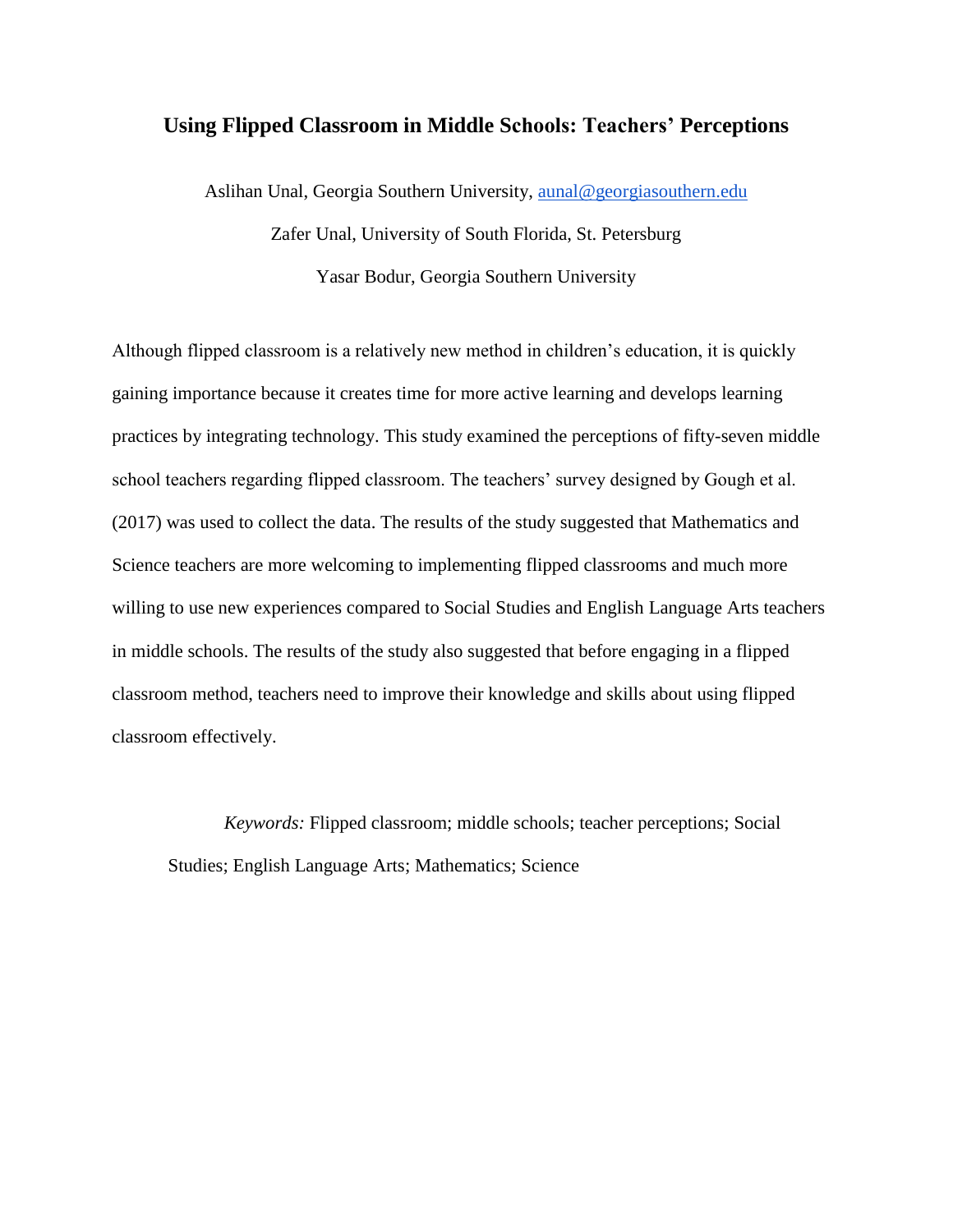# **Using Flipped Classroom in Middle Schools: Teachers' Perceptions**

Aslihan Unal, Georgia Southern University, [aunal@georgiasouthern.edu](mailto:aunal@georgiasouthern.edu) Zafer Unal, University of South Florida, St. Petersburg Yasar Bodur, Georgia Southern University

Although flipped classroom is a relatively new method in children's education, it is quickly gaining importance because it creates time for more active learning and develops learning practices by integrating technology. This study examined the perceptions of fifty-seven middle school teachers regarding flipped classroom. The teachers' survey designed by Gough et al. (2017) was used to collect the data. The results of the study suggested that Mathematics and Science teachers are more welcoming to implementing flipped classrooms and much more willing to use new experiences compared to Social Studies and English Language Arts teachers in middle schools. The results of the study also suggested that before engaging in a flipped classroom method, teachers need to improve their knowledge and skills about using flipped classroom effectively.

*Keywords:* Flipped classroom; middle schools; teacher perceptions; Social Studies; English Language Arts; Mathematics; Science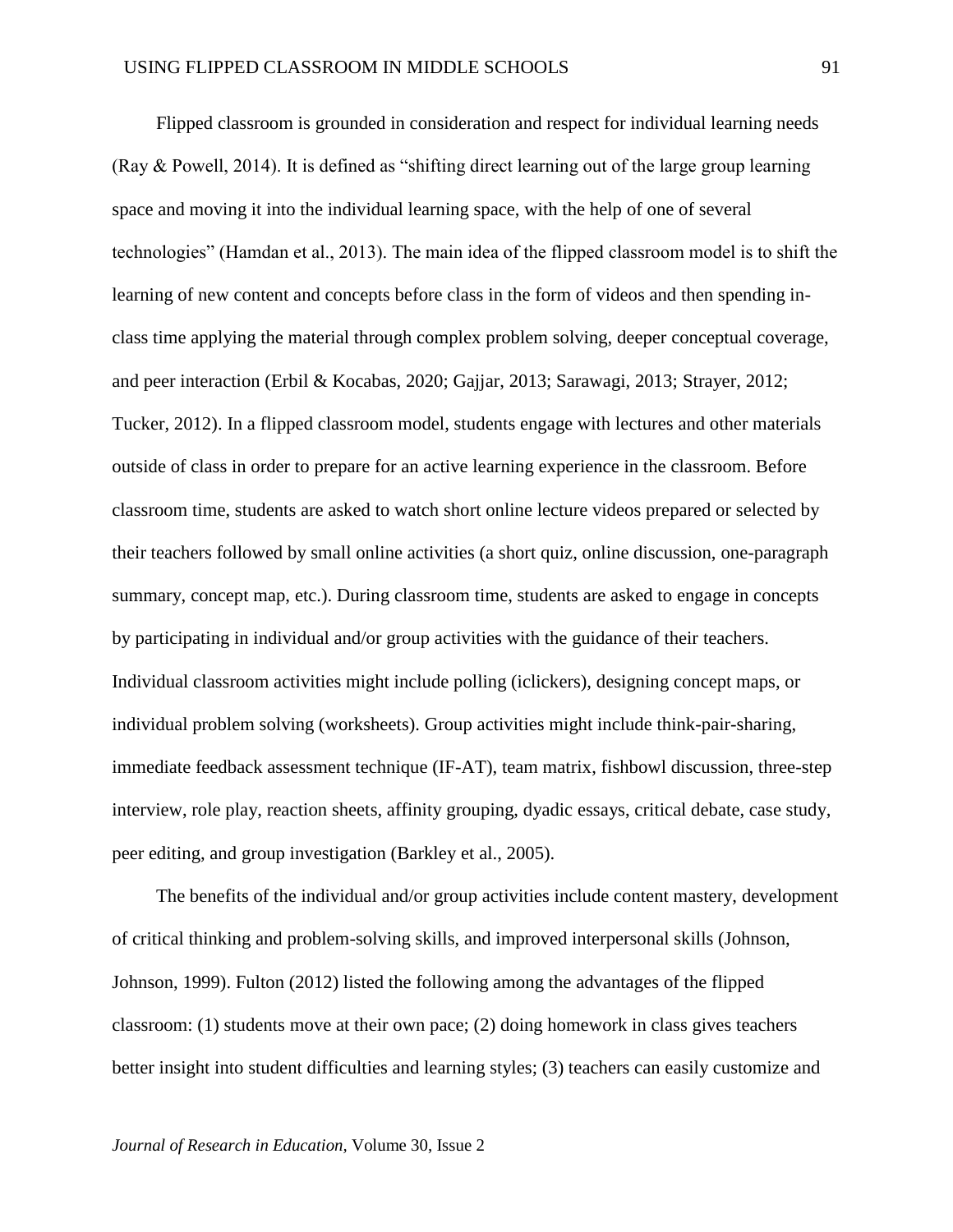Flipped classroom is grounded in consideration and respect for individual learning needs (Ray & Powell, 2014). It is defined as "shifting direct learning out of the large group learning space and moving it into the individual learning space, with the help of one of several technologies" (Hamdan et al., 2013). The main idea of the flipped classroom model is to shift the learning of new content and concepts before class in the form of videos and then spending inclass time applying the material through complex problem solving, deeper conceptual coverage, and peer interaction (Erbil & Kocabas, 2020; Gajjar, 2013; Sarawagi, 2013; Strayer, 2012; Tucker, 2012). In a flipped classroom model, students engage with lectures and other materials outside of class in order to prepare for an active learning experience in the classroom. Before classroom time, students are asked to watch short online lecture videos prepared or selected by their teachers followed by small online activities (a short quiz, online discussion, one-paragraph summary, concept map, etc.). During classroom time, students are asked to engage in concepts by participating in individual and/or group activities with the guidance of their teachers. Individual classroom activities might include polling (iclickers), designing concept maps, or individual problem solving (worksheets). Group activities might include think-pair-sharing, immediate feedback assessment technique (IF-AT), team matrix, fishbowl discussion, three-step interview, role play, reaction sheets, affinity grouping, dyadic essays, critical debate, case study, peer editing, and group investigation (Barkley et al., 2005).

The benefits of the individual and/or group activities include content mastery, development of critical thinking and problem-solving skills, and improved interpersonal skills (Johnson, Johnson, 1999). Fulton (2012) listed the following among the advantages of the flipped classroom: (1) students move at their own pace; (2) doing homework in class gives teachers better insight into student difficulties and learning styles; (3) teachers can easily customize and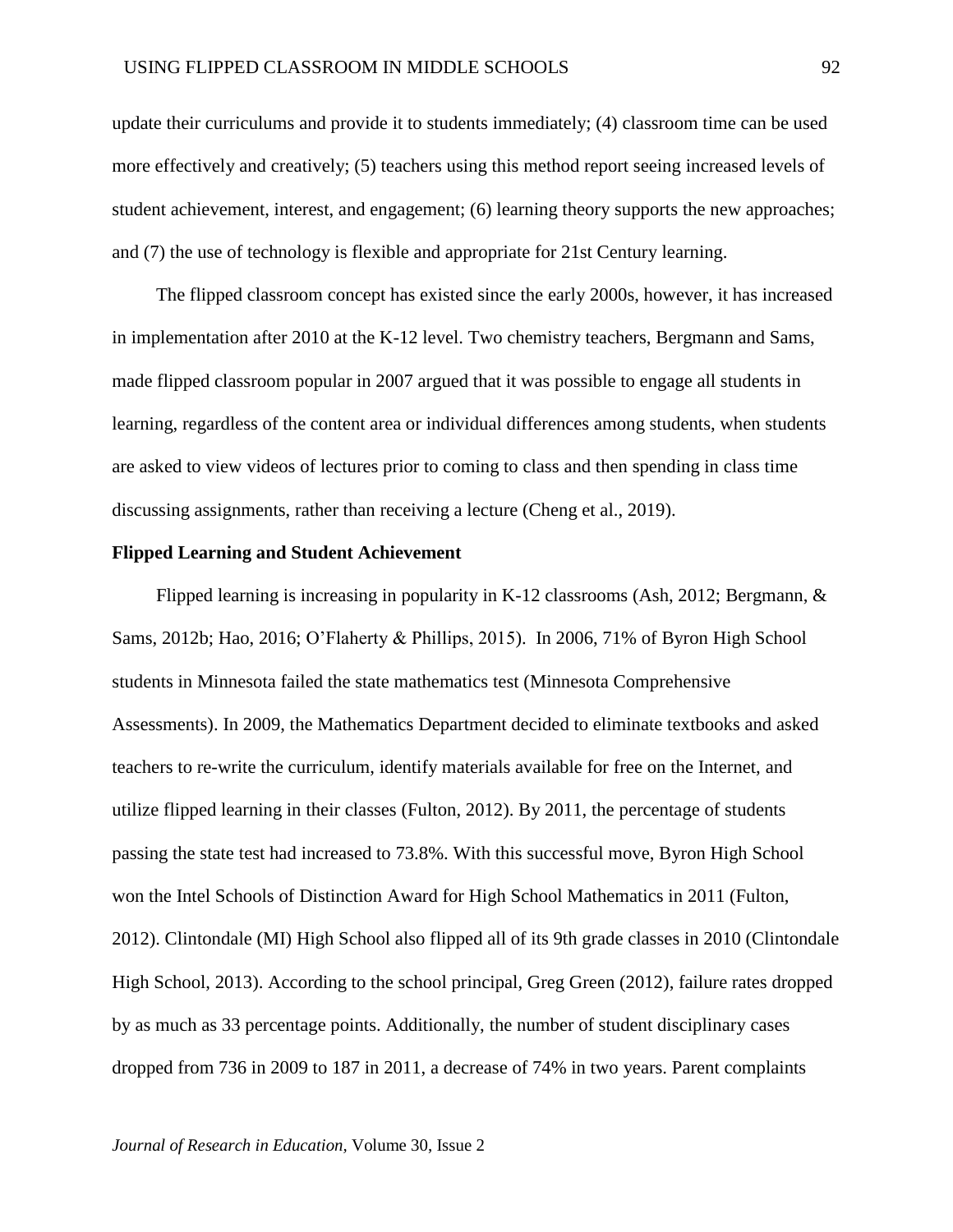update their curriculums and provide it to students immediately; (4) classroom time can be used more effectively and creatively; (5) teachers using this method report seeing increased levels of student achievement, interest, and engagement; (6) learning theory supports the new approaches; and (7) the use of technology is flexible and appropriate for 21st Century learning.

The flipped classroom concept has existed since the early 2000s, however, it has increased in implementation after 2010 at the K-12 level. Two chemistry teachers, Bergmann and Sams, made flipped classroom popular in 2007 argued that it was possible to engage all students in learning, regardless of the content area or individual differences among students, when students are asked to view videos of lectures prior to coming to class and then spending in class time discussing assignments, rather than receiving a lecture (Cheng et al., 2019).

#### **Flipped Learning and Student Achievement**

Flipped learning is increasing in popularity in K-12 classrooms (Ash, 2012; Bergmann, & Sams, 2012b; Hao, 2016; O'Flaherty & Phillips, 2015). In 2006, 71% of Byron High School students in Minnesota failed the state mathematics test (Minnesota Comprehensive Assessments). In 2009, the Mathematics Department decided to eliminate textbooks and asked teachers to re-write the curriculum, identify materials available for free on the Internet, and utilize flipped learning in their classes (Fulton, 2012). By 2011, the percentage of students passing the state test had increased to 73.8%. With this successful move, Byron High School won the Intel Schools of Distinction Award for High School Mathematics in 2011 (Fulton, 2012). Clintondale (MI) High School also flipped all of its 9th grade classes in 2010 (Clintondale High School, 2013). According to the school principal, Greg Green (2012), failure rates dropped by as much as 33 percentage points. Additionally, the number of student disciplinary cases dropped from 736 in 2009 to 187 in 2011, a decrease of 74% in two years. Parent complaints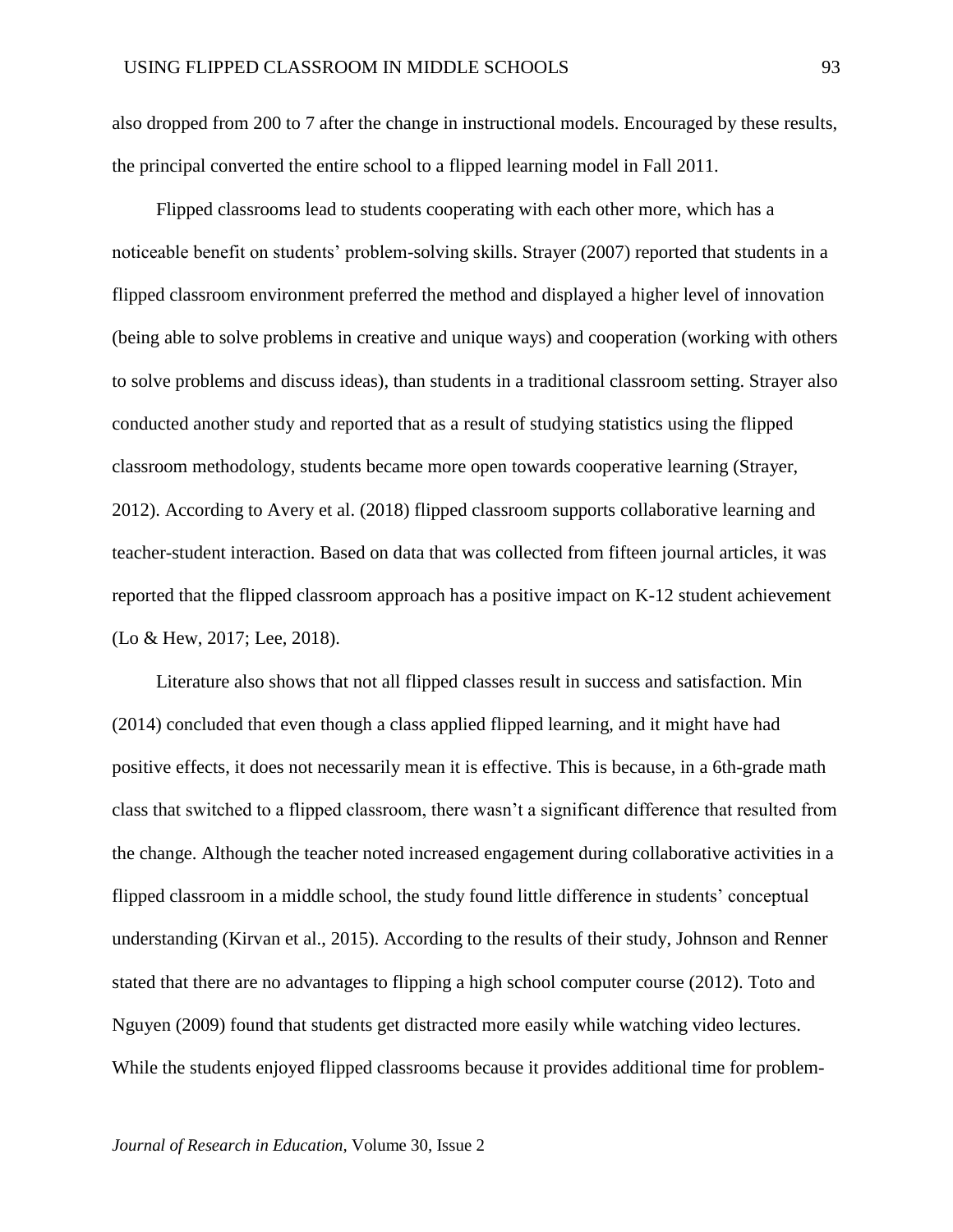also dropped from 200 to 7 after the change in instructional models. Encouraged by these results, the principal converted the entire school to a flipped learning model in Fall 2011.

Flipped classrooms lead to students cooperating with each other more, which has a noticeable benefit on students' problem-solving skills. Strayer (2007) reported that students in a flipped classroom environment preferred the method and displayed a higher level of innovation (being able to solve problems in creative and unique ways) and cooperation (working with others to solve problems and discuss ideas), than students in a traditional classroom setting. Strayer also conducted another study and reported that as a result of studying statistics using the flipped classroom methodology, students became more open towards cooperative learning (Strayer, 2012). According to Avery et al. (2018) flipped classroom supports collaborative learning and teacher-student interaction. Based on data that was collected from fifteen journal articles, it was reported that the flipped classroom approach has a positive impact on K-12 student achievement (Lo & Hew, 2017; Lee, 2018).

Literature also shows that not all flipped classes result in success and satisfaction. Min (2014) concluded that even though a class applied flipped learning, and it might have had positive effects, it does not necessarily mean it is effective. This is because, in a 6th-grade math class that switched to a flipped classroom, there wasn't a significant difference that resulted from the change. Although the teacher noted increased engagement during collaborative activities in a flipped classroom in a middle school, the study found little difference in students' conceptual understanding (Kirvan et al., 2015). According to the results of their study, Johnson and Renner stated that there are no advantages to flipping a high school computer course (2012). Toto and Nguyen (2009) found that students get distracted more easily while watching video lectures. While the students enjoyed flipped classrooms because it provides additional time for problem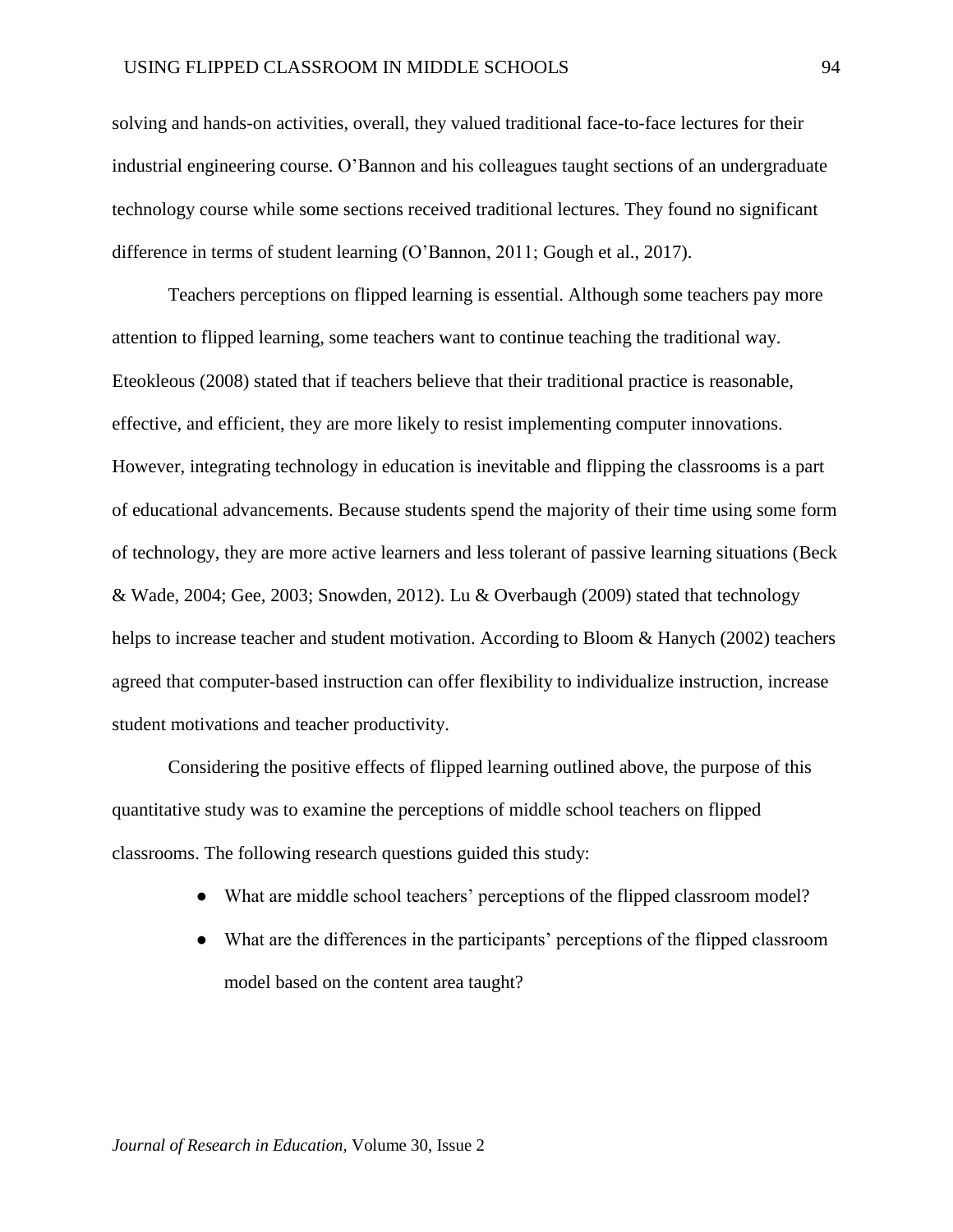solving and hands-on activities, overall, they valued traditional face-to-face lectures for their industrial engineering course. O'Bannon and his colleagues taught sections of an undergraduate technology course while some sections received traditional lectures. They found no significant difference in terms of student learning (O'Bannon, 2011; Gough et al., 2017).

Teachers perceptions on flipped learning is essential. Although some teachers pay more attention to flipped learning, some teachers want to continue teaching the traditional way. Eteokleous (2008) stated that if teachers believe that their traditional practice is reasonable, effective, and efficient, they are more likely to resist implementing computer innovations. However, integrating technology in education is inevitable and flipping the classrooms is a part of educational advancements. Because students spend the majority of their time using some form of technology, they are more active learners and less tolerant of passive learning situations (Beck & Wade, 2004; Gee, 2003; Snowden, 2012). Lu & Overbaugh (2009) stated that technology helps to increase teacher and student motivation. According to Bloom & Hanych (2002) teachers agreed that computer-based instruction can offer flexibility to individualize instruction, increase student motivations and teacher productivity.

Considering the positive effects of flipped learning outlined above, the purpose of this quantitative study was to examine the perceptions of middle school teachers on flipped classrooms. The following research questions guided this study:

- What are middle school teachers' perceptions of the flipped classroom model?
- What are the differences in the participants' perceptions of the flipped classroom model based on the content area taught?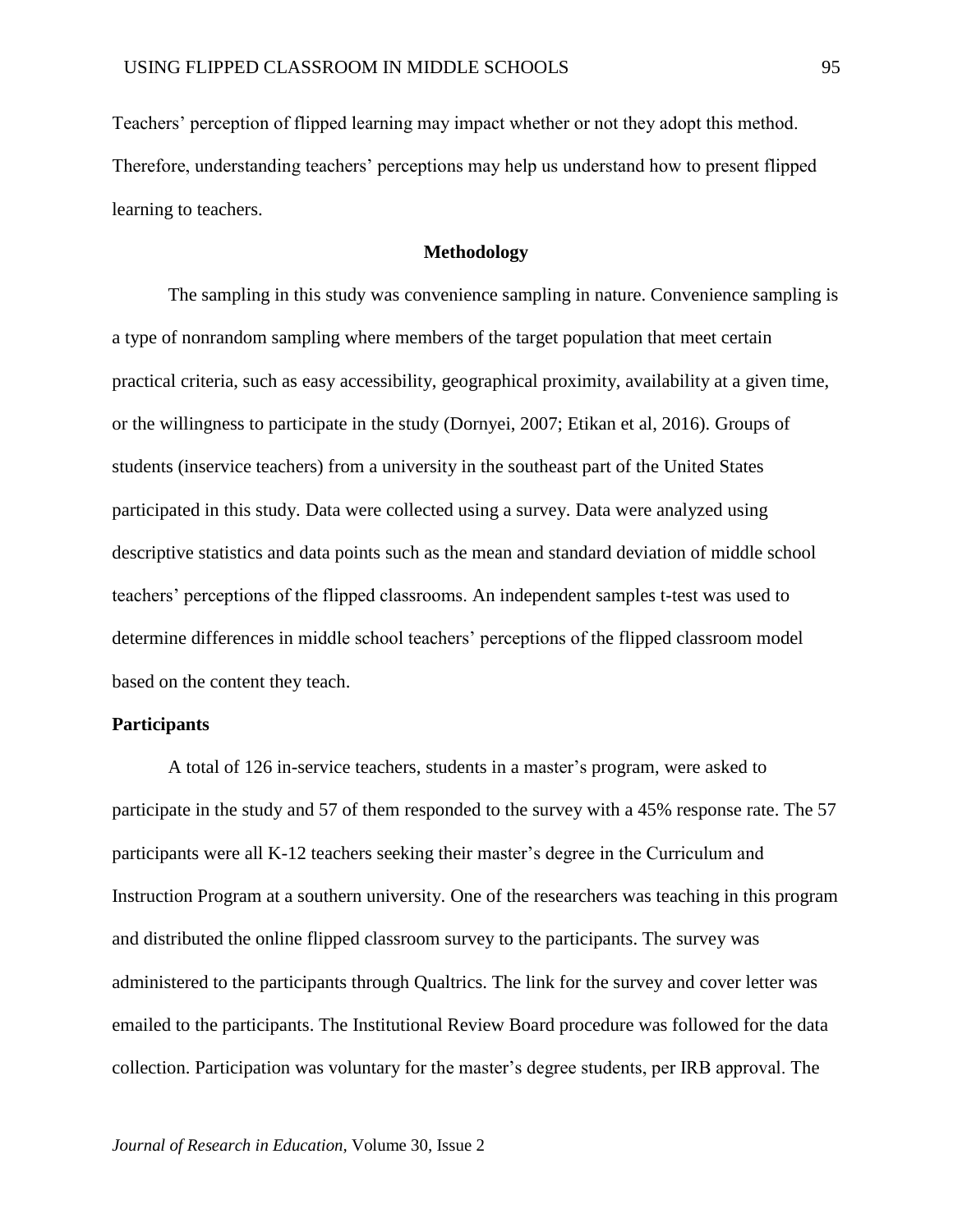Teachers' perception of flipped learning may impact whether or not they adopt this method. Therefore, understanding teachers' perceptions may help us understand how to present flipped learning to teachers.

## **Methodology**

The sampling in this study was convenience sampling in nature. Convenience sampling is a type of nonrandom sampling where members of the target population that meet certain practical criteria, such as easy accessibility, geographical proximity, availability at a given time, or the willingness to participate in the study (Dornyei, 2007; Etikan et al, 2016). Groups of students (inservice teachers) from a university in the southeast part of the United States participated in this study. Data were collected using a survey. Data were analyzed using descriptive statistics and data points such as the mean and standard deviation of middle school teachers' perceptions of the flipped classrooms. An independent samples t-test was used to determine differences in middle school teachers' perceptions of the flipped classroom model based on the content they teach.

## **Participants**

A total of 126 in-service teachers, students in a master's program, were asked to participate in the study and 57 of them responded to the survey with a 45% response rate. The 57 participants were all K-12 teachers seeking their master's degree in the Curriculum and Instruction Program at a southern university. One of the researchers was teaching in this program and distributed the online flipped classroom survey to the participants. The survey was administered to the participants through Qualtrics. The link for the survey and cover letter was emailed to the participants. The Institutional Review Board procedure was followed for the data collection. Participation was voluntary for the master's degree students, per IRB approval. The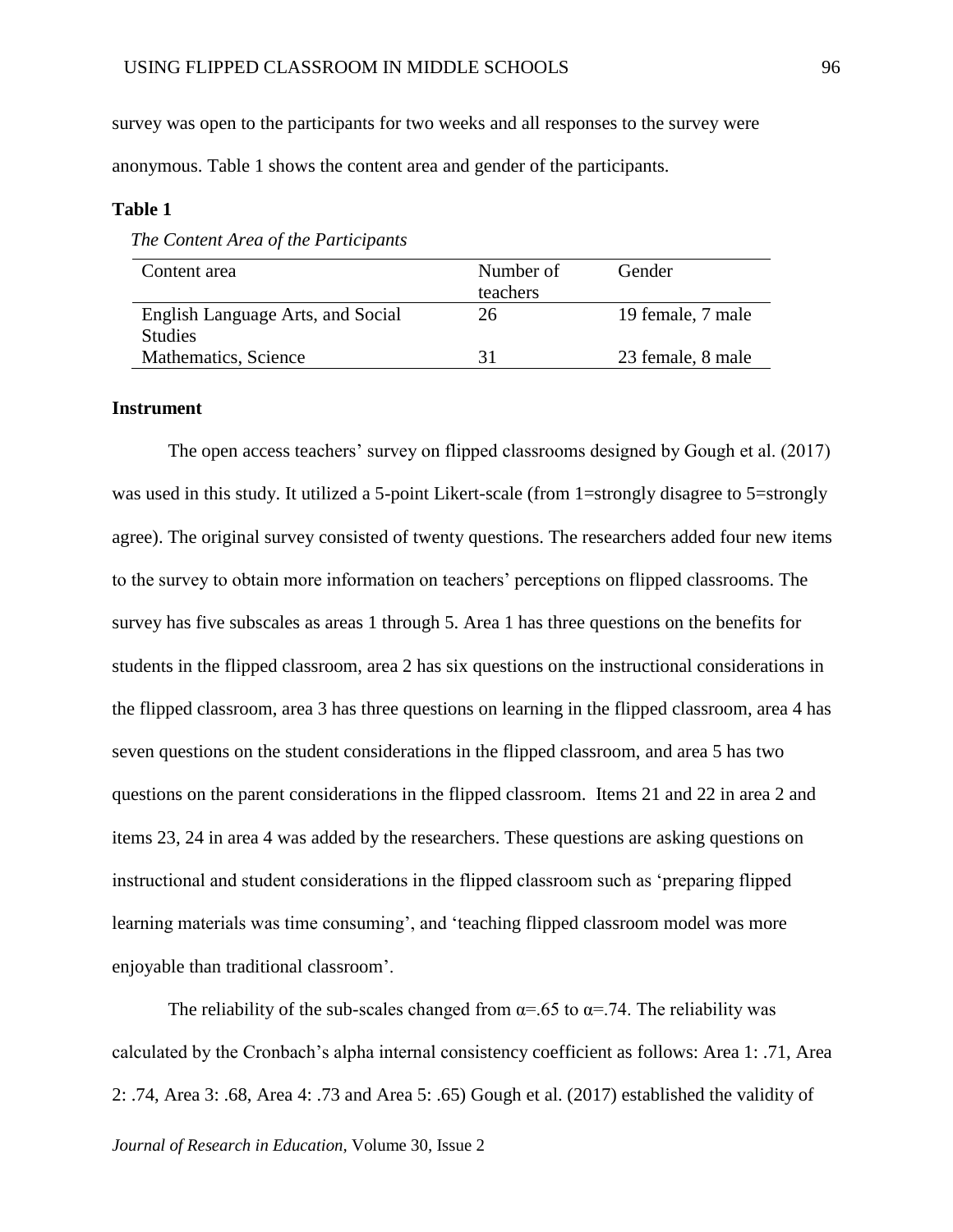survey was open to the participants for two weeks and all responses to the survey were anonymous. Table 1 shows the content area and gender of the participants.

## **Table 1**

| Content area                      | Number of | Gender            |
|-----------------------------------|-----------|-------------------|
|                                   | teachers  |                   |
| English Language Arts, and Social | 26        | 19 female, 7 male |
| <b>Studies</b>                    |           |                   |
| Mathematics, Science              | 31        | 23 female, 8 male |

 *The Content Area of the Participants*

#### **Instrument**

The open access teachers' survey on flipped classrooms designed by Gough et al. (2017) was used in this study. It utilized a 5-point Likert-scale (from 1=strongly disagree to 5=strongly agree). The original survey consisted of twenty questions. The researchers added four new items to the survey to obtain more information on teachers' perceptions on flipped classrooms. The survey has five subscales as areas 1 through 5. Area 1 has three questions on the benefits for students in the flipped classroom, area 2 has six questions on the instructional considerations in the flipped classroom, area 3 has three questions on learning in the flipped classroom, area 4 has seven questions on the student considerations in the flipped classroom, and area 5 has two questions on the parent considerations in the flipped classroom. Items 21 and 22 in area 2 and items 23, 24 in area 4 was added by the researchers. These questions are asking questions on instructional and student considerations in the flipped classroom such as 'preparing flipped learning materials was time consuming', and 'teaching flipped classroom model was more enjoyable than traditional classroom'.

*Journal of Research in Education,* Volume 30, Issue 2 The reliability of the sub-scales changed from  $\alpha = .65$  to  $\alpha = .74$ . The reliability was calculated by the Cronbach's alpha internal consistency coefficient as follows: Area 1: .71, Area 2: .74, Area 3: .68, Area 4: .73 and Area 5: .65) Gough et al. (2017) established the validity of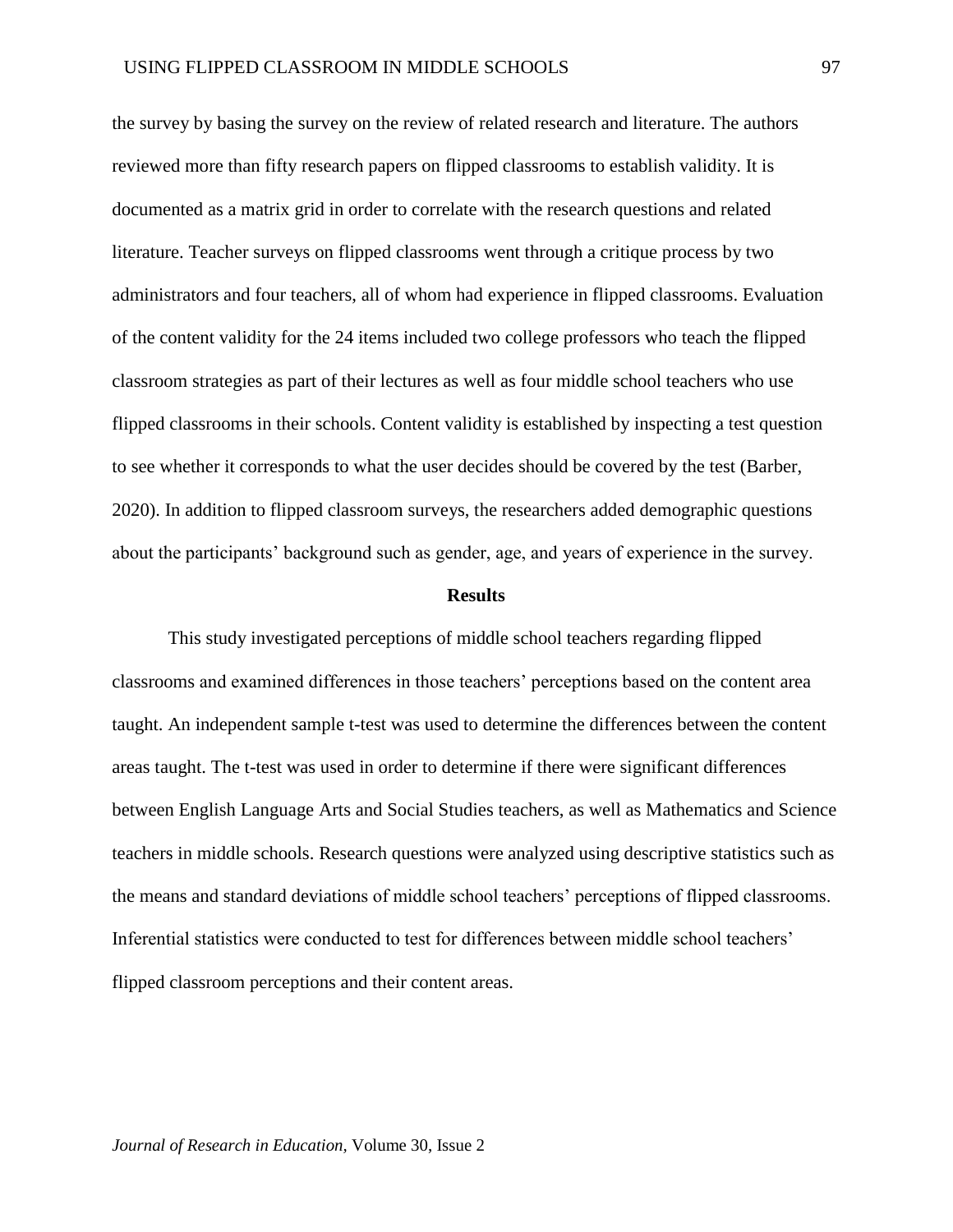the survey by basing the survey on the review of related research and literature. The authors reviewed more than fifty research papers on flipped classrooms to establish validity. It is documented as a matrix grid in order to correlate with the research questions and related literature. Teacher surveys on flipped classrooms went through a critique process by two administrators and four teachers, all of whom had experience in flipped classrooms. Evaluation of the content validity for the 24 items included two college professors who teach the flipped classroom strategies as part of their lectures as well as four middle school teachers who use flipped classrooms in their schools. Content validity is established by inspecting a test question to see whether it corresponds to what the user decides should be covered by the test (Barber, 2020). In addition to flipped classroom surveys, the researchers added demographic questions about the participants' background such as gender, age, and years of experience in the survey.

#### **Results**

This study investigated perceptions of middle school teachers regarding flipped classrooms and examined differences in those teachers' perceptions based on the content area taught. An independent sample t-test was used to determine the differences between the content areas taught. The t-test was used in order to determine if there were significant differences between English Language Arts and Social Studies teachers, as well as Mathematics and Science teachers in middle schools. Research questions were analyzed using descriptive statistics such as the means and standard deviations of middle school teachers' perceptions of flipped classrooms. Inferential statistics were conducted to test for differences between middle school teachers' flipped classroom perceptions and their content areas.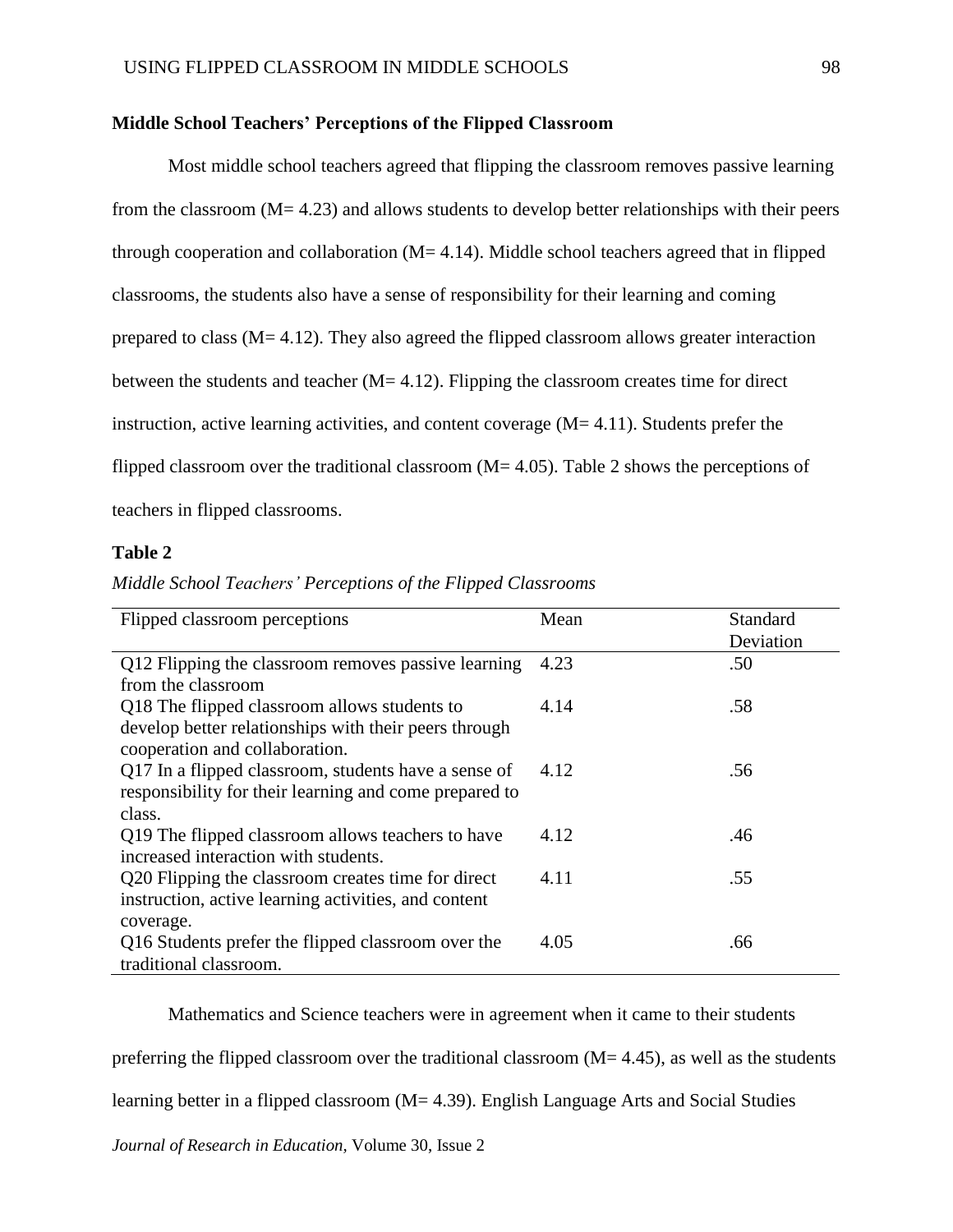## **Middle School Teachers' Perceptions of the Flipped Classroom**

Most middle school teachers agreed that flipping the classroom removes passive learning from the classroom  $(M= 4.23)$  and allows students to develop better relationships with their peers through cooperation and collaboration  $(M= 4.14)$ . Middle school teachers agreed that in flipped classrooms, the students also have a sense of responsibility for their learning and coming prepared to class (M= 4.12). They also agreed the flipped classroom allows greater interaction between the students and teacher  $(M= 4.12)$ . Flipping the classroom creates time for direct instruction, active learning activities, and content coverage  $(M=4.11)$ . Students prefer the flipped classroom over the traditional classroom ( $M = 4.05$ ). Table 2 shows the perceptions of teachers in flipped classrooms.

## **Table 2**

| Flipped classroom perceptions                                                                                                           | Mean | Standard<br>Deviation |
|-----------------------------------------------------------------------------------------------------------------------------------------|------|-----------------------|
| Q12 Flipping the classroom removes passive learning<br>from the classroom                                                               | 4.23 | .50                   |
| Q18 The flipped classroom allows students to<br>develop better relationships with their peers through<br>cooperation and collaboration. | 4.14 | .58                   |
| Q17 In a flipped classroom, students have a sense of<br>responsibility for their learning and come prepared to<br>class.                | 4.12 | .56                   |
| Q19 The flipped classroom allows teachers to have<br>increased interaction with students.                                               | 4.12 | .46                   |
| Q20 Flipping the classroom creates time for direct<br>instruction, active learning activities, and content<br>coverage.                 | 4.11 | .55                   |
| Q16 Students prefer the flipped classroom over the<br>traditional classroom.                                                            | 4.05 | .66                   |

# *Middle School Teachers' Perceptions of the Flipped Classrooms*

Mathematics and Science teachers were in agreement when it came to their students

preferring the flipped classroom over the traditional classroom  $(M= 4.45)$ , as well as the students

learning better in a flipped classroom (M= 4.39). English Language Arts and Social Studies

*Journal of Research in Education,* Volume 30, Issue 2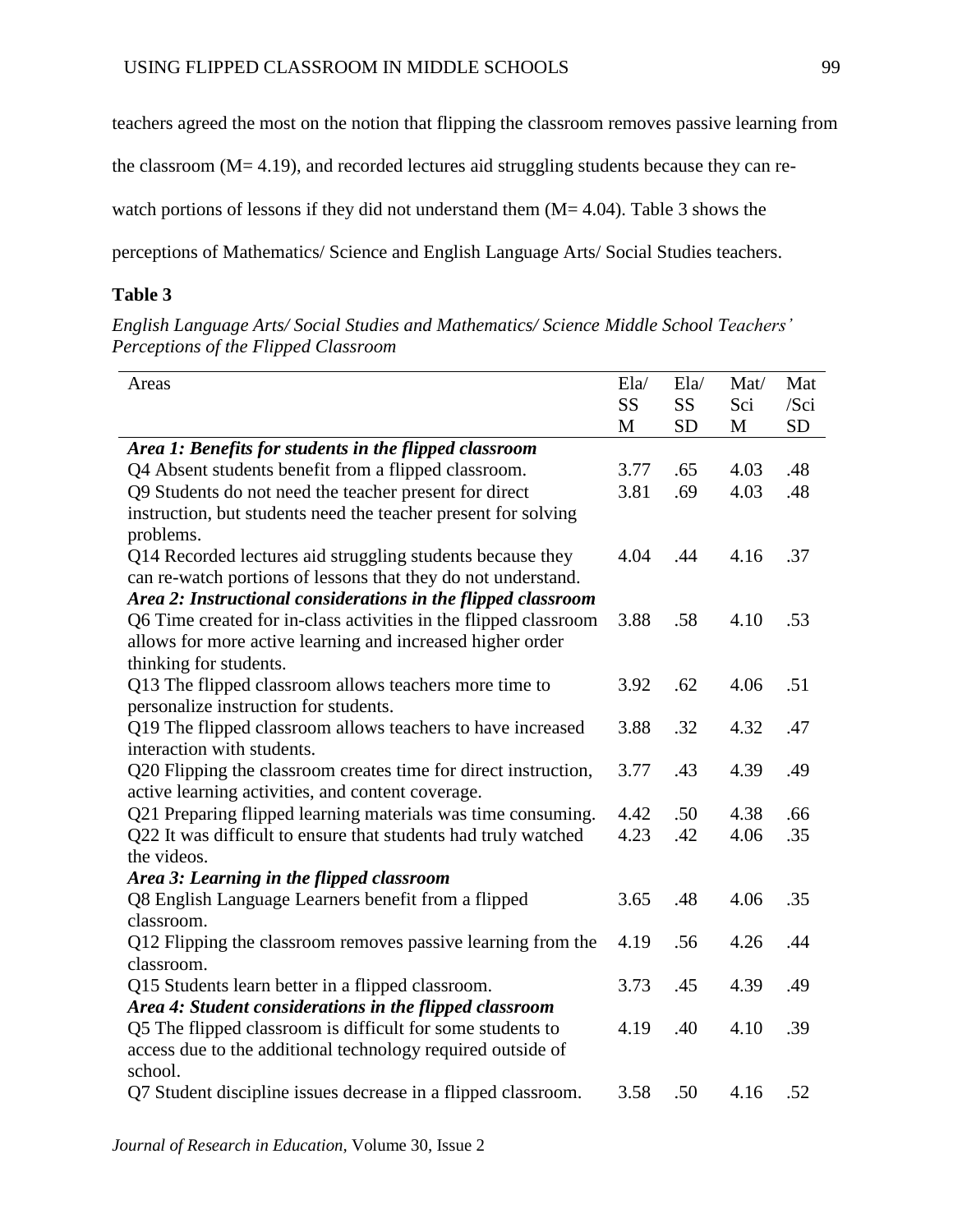teachers agreed the most on the notion that flipping the classroom removes passive learning from

the classroom (M= 4.19), and recorded lectures aid struggling students because they can re-

watch portions of lessons if they did not understand them (M= 4.04). Table 3 shows the

perceptions of Mathematics/ Science and English Language Arts/ Social Studies teachers.

# **Table 3**

*English Language Arts/ Social Studies and Mathematics/ Science Middle School Teachers' Perceptions of the Flipped Classroom*

| Areas                                                            | E1a/ | E1a/      | Mat/ | Mat       |
|------------------------------------------------------------------|------|-----------|------|-----------|
|                                                                  | SS   | <b>SS</b> | Sci  | $/$ Sci   |
|                                                                  | M    | <b>SD</b> | M    | <b>SD</b> |
| Area 1: Benefits for students in the flipped classroom           |      |           |      |           |
| Q4 Absent students benefit from a flipped classroom.             | 3.77 | .65       | 4.03 | .48       |
| Q9 Students do not need the teacher present for direct           | 3.81 | .69       | 4.03 | .48       |
| instruction, but students need the teacher present for solving   |      |           |      |           |
| problems.                                                        |      |           |      |           |
| Q14 Recorded lectures aid struggling students because they       | 4.04 | .44       | 4.16 | .37       |
| can re-watch portions of lessons that they do not understand.    |      |           |      |           |
| Area 2: Instructional considerations in the flipped classroom    |      |           |      |           |
| Q6 Time created for in-class activities in the flipped classroom | 3.88 | .58       | 4.10 | .53       |
| allows for more active learning and increased higher order       |      |           |      |           |
| thinking for students.                                           |      |           |      |           |
| Q13 The flipped classroom allows teachers more time to           | 3.92 | .62       | 4.06 | .51       |
| personalize instruction for students.                            |      |           |      |           |
| Q19 The flipped classroom allows teachers to have increased      | 3.88 | .32       | 4.32 | .47       |
| interaction with students.                                       |      |           |      |           |
| Q20 Flipping the classroom creates time for direct instruction,  | 3.77 | .43       | 4.39 | .49       |
| active learning activities, and content coverage.                |      |           |      |           |
| Q21 Preparing flipped learning materials was time consuming.     | 4.42 | .50       | 4.38 | .66       |
| Q22 It was difficult to ensure that students had truly watched   | 4.23 | .42       | 4.06 | .35       |
| the videos.                                                      |      |           |      |           |
| Area 3: Learning in the flipped classroom                        |      |           |      |           |
| Q8 English Language Learners benefit from a flipped              | 3.65 | .48       | 4.06 | .35       |
| classroom.                                                       |      |           |      |           |
| Q12 Flipping the classroom removes passive learning from the     | 4.19 | .56       | 4.26 | .44       |
| classroom.                                                       |      |           |      |           |
| Q15 Students learn better in a flipped classroom.                | 3.73 | .45       | 4.39 | .49       |
| Area 4: Student considerations in the flipped classroom          |      |           |      |           |
| Q5 The flipped classroom is difficult for some students to       | 4.19 | .40       | 4.10 | .39       |
| access due to the additional technology required outside of      |      |           |      |           |
| school.                                                          |      |           |      |           |
| Q7 Student discipline issues decrease in a flipped classroom.    | 3.58 | .50       | 4.16 | .52       |
|                                                                  |      |           |      |           |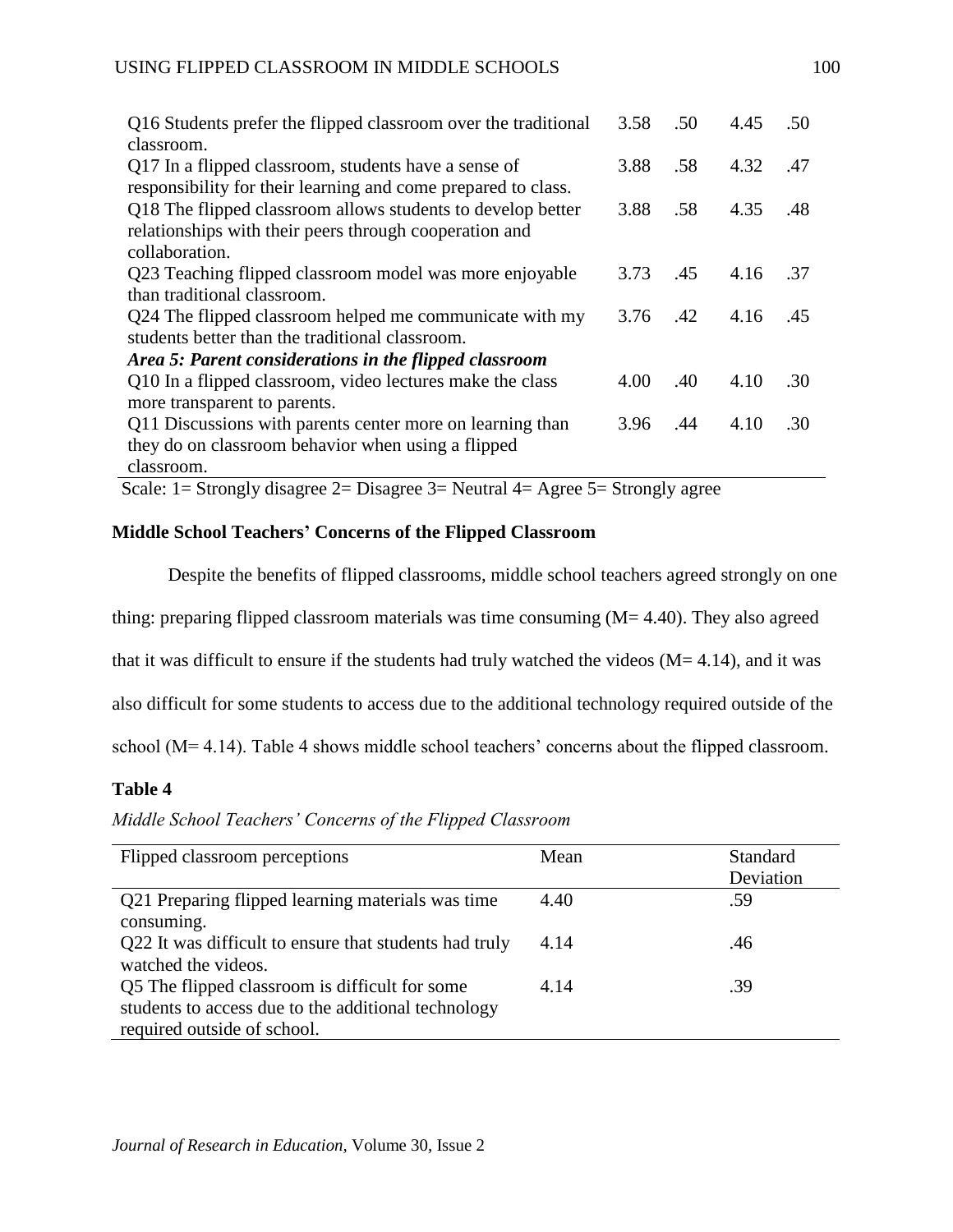| Q16 Students prefer the flipped classroom over the traditional                      | 3.58 | .50 | 4.45 | .50 |
|-------------------------------------------------------------------------------------|------|-----|------|-----|
| classroom.                                                                          |      |     |      |     |
| Q17 In a flipped classroom, students have a sense of                                | 3.88 | .58 | 4.32 | .47 |
| responsibility for their learning and come prepared to class.                       |      |     |      |     |
| Q18 The flipped classroom allows students to develop better                         | 3.88 | .58 | 4.35 | .48 |
| relationships with their peers through cooperation and                              |      |     |      |     |
| collaboration.                                                                      |      |     |      |     |
| Q23 Teaching flipped classroom model was more enjoyable                             | 3.73 | .45 | 4.16 | -37 |
| than traditional classroom.                                                         |      |     |      |     |
| Q24 The flipped classroom helped me communicate with my                             | 3.76 | .42 | 4.16 | .45 |
| students better than the traditional classroom.                                     |      |     |      |     |
| Area 5: Parent considerations in the flipped classroom                              |      |     |      |     |
| Q10 In a flipped classroom, video lectures make the class                           | 4.00 | .40 | 4.10 | .30 |
| more transparent to parents.                                                        |      |     |      |     |
| Q11 Discussions with parents center more on learning than                           | 3.96 | .44 | 4.10 | .30 |
| they do on classroom behavior when using a flipped                                  |      |     |      |     |
| classroom.                                                                          |      |     |      |     |
| Scale: 1= Strongly disagree 2= Disagree $3=$ Neutral $4=$ Agree $5=$ Strongly agree |      |     |      |     |

# **Middle School Teachers' Concerns of the Flipped Classroom**

Despite the benefits of flipped classrooms, middle school teachers agreed strongly on one thing: preparing flipped classroom materials was time consuming  $(M= 4.40)$ . They also agreed that it was difficult to ensure if the students had truly watched the videos  $(M= 4.14)$ , and it was also difficult for some students to access due to the additional technology required outside of the

school (M= 4.14). Table 4 shows middle school teachers' concerns about the flipped classroom.

# **Table 4**

*Middle School Teachers' Concerns of the Flipped Classroom* 

| Flipped classroom perceptions                                                                                                        | Mean | <b>Standard</b><br>Deviation |
|--------------------------------------------------------------------------------------------------------------------------------------|------|------------------------------|
| Q21 Preparing flipped learning materials was time<br>consuming.                                                                      | 4.40 | .59                          |
| Q22 It was difficult to ensure that students had truly<br>watched the videos.                                                        | 4.14 | .46                          |
| Q5 The flipped classroom is difficult for some<br>students to access due to the additional technology<br>required outside of school. | 4.14 | .39                          |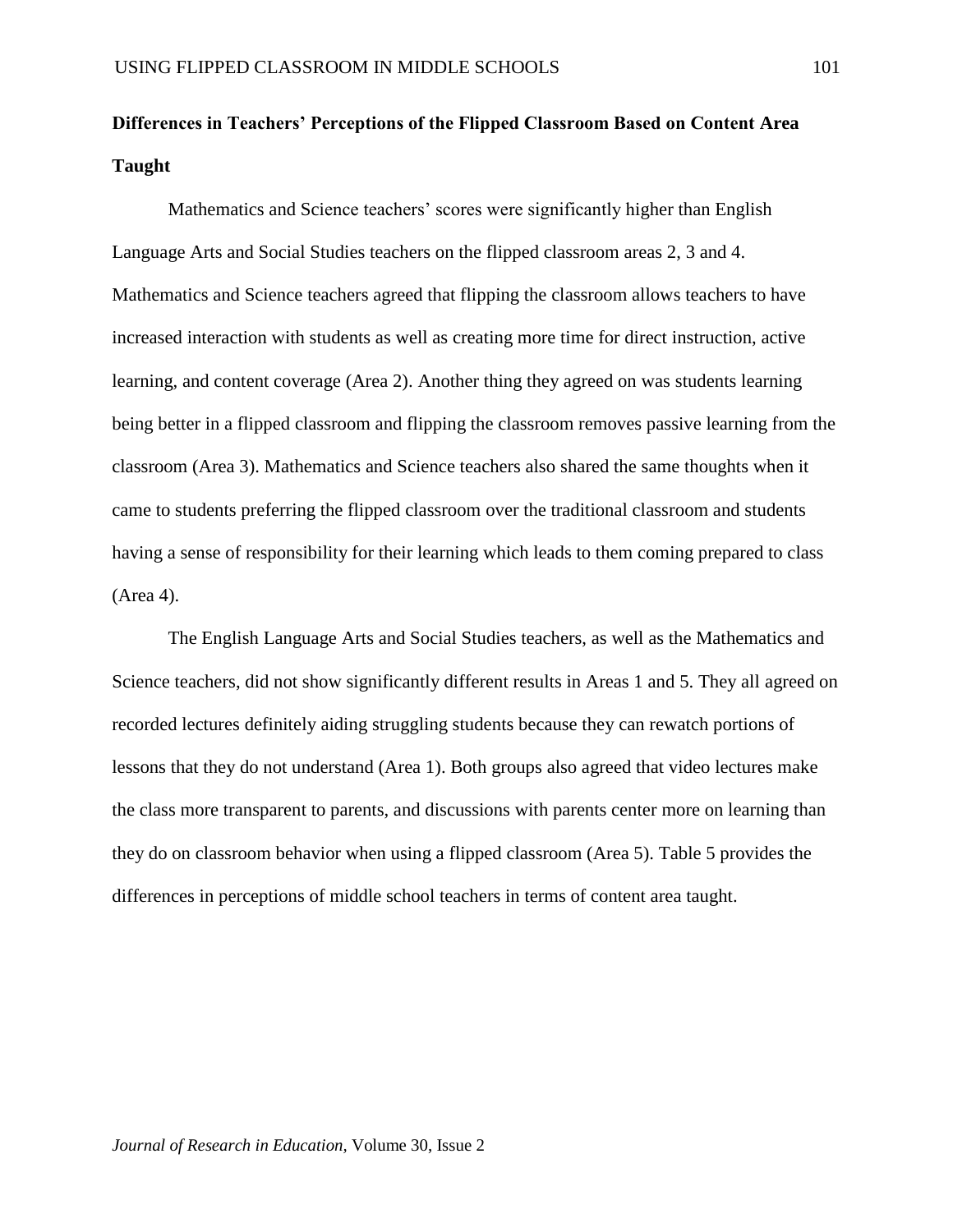# **Differences in Teachers' Perceptions of the Flipped Classroom Based on Content Area Taught**

Mathematics and Science teachers' scores were significantly higher than English Language Arts and Social Studies teachers on the flipped classroom areas 2, 3 and 4. Mathematics and Science teachers agreed that flipping the classroom allows teachers to have increased interaction with students as well as creating more time for direct instruction, active learning, and content coverage (Area 2). Another thing they agreed on was students learning being better in a flipped classroom and flipping the classroom removes passive learning from the classroom (Area 3). Mathematics and Science teachers also shared the same thoughts when it came to students preferring the flipped classroom over the traditional classroom and students having a sense of responsibility for their learning which leads to them coming prepared to class (Area 4).

The English Language Arts and Social Studies teachers, as well as the Mathematics and Science teachers, did not show significantly different results in Areas 1 and 5. They all agreed on recorded lectures definitely aiding struggling students because they can rewatch portions of lessons that they do not understand (Area 1). Both groups also agreed that video lectures make the class more transparent to parents, and discussions with parents center more on learning than they do on classroom behavior when using a flipped classroom (Area 5). Table 5 provides the differences in perceptions of middle school teachers in terms of content area taught.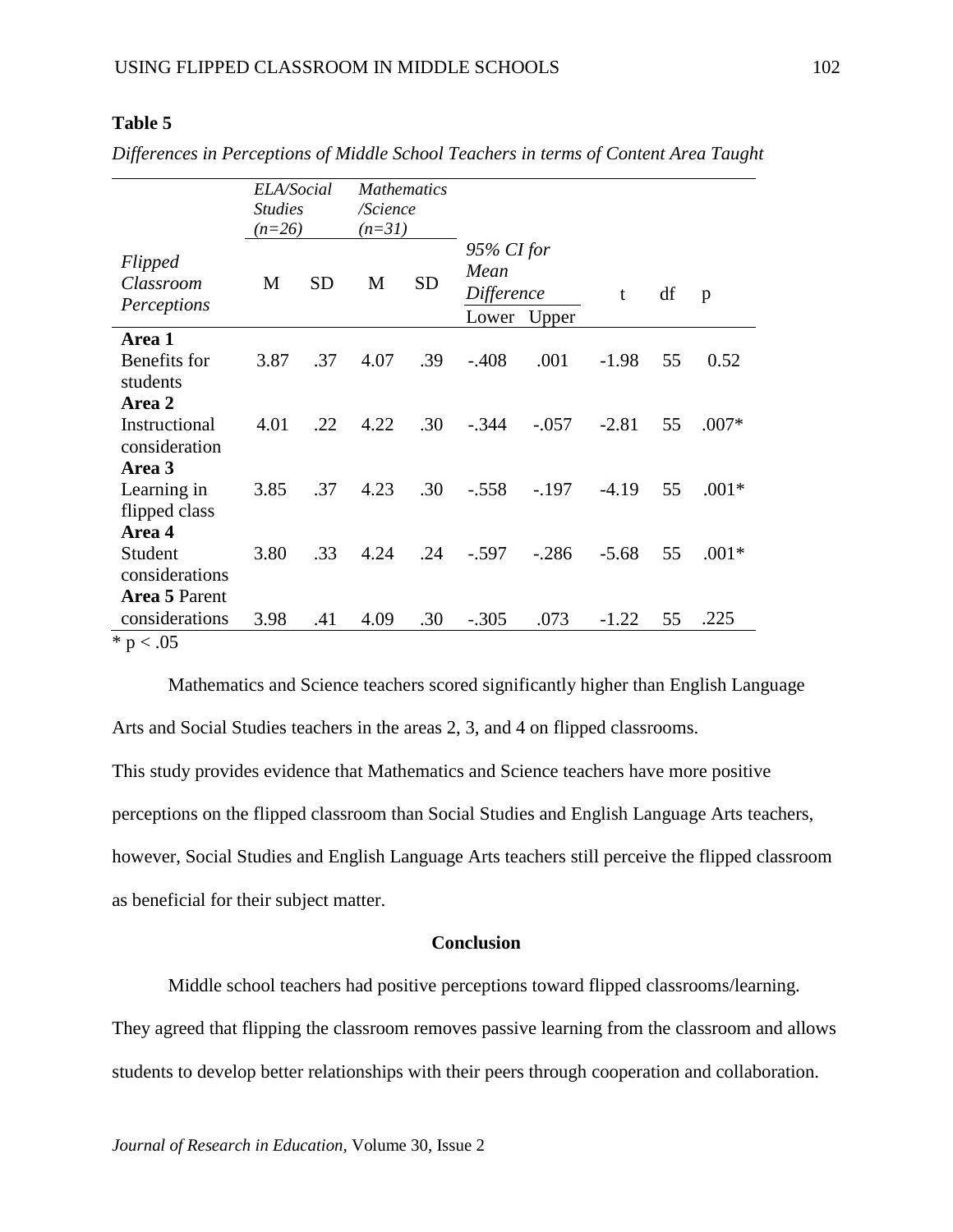# **Table 5**

|                                     | ELA/Social<br><b>Studies</b><br>$(n=26)$ |           | <b>Mathematics</b><br>/Science<br>$(n=31)$ |           |                                                    |         |         |    |         |
|-------------------------------------|------------------------------------------|-----------|--------------------------------------------|-----------|----------------------------------------------------|---------|---------|----|---------|
| Flipped<br>Classroom<br>Perceptions | M                                        | <b>SD</b> | M                                          | <b>SD</b> | $95\%$ CI for<br>Mean<br>Difference<br>Lower Upper |         | t       | df | p       |
| Area 1                              |                                          |           |                                            |           |                                                    |         |         |    |         |
| Benefits for                        | 3.87                                     | .37       | 4.07                                       | .39       | $-.408$                                            | .001    | $-1.98$ | 55 | 0.52    |
| students<br>Area 2                  |                                          |           |                                            |           |                                                    |         |         |    |         |
| Instructional                       | 4.01                                     | .22       | 4.22                                       | .30       | $-.344$                                            | $-.057$ | $-2.81$ | 55 | $.007*$ |
| consideration                       |                                          |           |                                            |           |                                                    |         |         |    |         |
| Area 3                              |                                          |           |                                            |           |                                                    |         |         |    |         |
| Learning in                         | 3.85                                     | .37       | 4.23                                       | .30       | $-.558$                                            | $-.197$ | $-4.19$ | 55 | $.001*$ |
| flipped class<br>Area 4             |                                          |           |                                            |           |                                                    |         |         |    |         |
| Student                             | 3.80                                     | .33       | 4.24                                       | .24       | $-.597$                                            | $-.286$ | $-5.68$ | 55 | $.001*$ |
| considerations                      |                                          |           |                                            |           |                                                    |         |         |    |         |
| Area 5 Parent                       |                                          |           |                                            |           |                                                    |         |         |    |         |
| considerations                      | 3.98                                     | .41       | 4.09                                       | .30       | $-.305$                                            | .073    | $-1.22$ | 55 | .225    |
| * $p < .05$                         |                                          |           |                                            |           |                                                    |         |         |    |         |

*Differences in Perceptions of Middle School Teachers in terms of Content Area Taught*

Mathematics and Science teachers scored significantly higher than English Language Arts and Social Studies teachers in the areas 2, 3, and 4 on flipped classrooms.

This study provides evidence that Mathematics and Science teachers have more positive perceptions on the flipped classroom than Social Studies and English Language Arts teachers, however, Social Studies and English Language Arts teachers still perceive the flipped classroom as beneficial for their subject matter.

# **Conclusion**

Middle school teachers had positive perceptions toward flipped classrooms/learning. They agreed that flipping the classroom removes passive learning from the classroom and allows students to develop better relationships with their peers through cooperation and collaboration.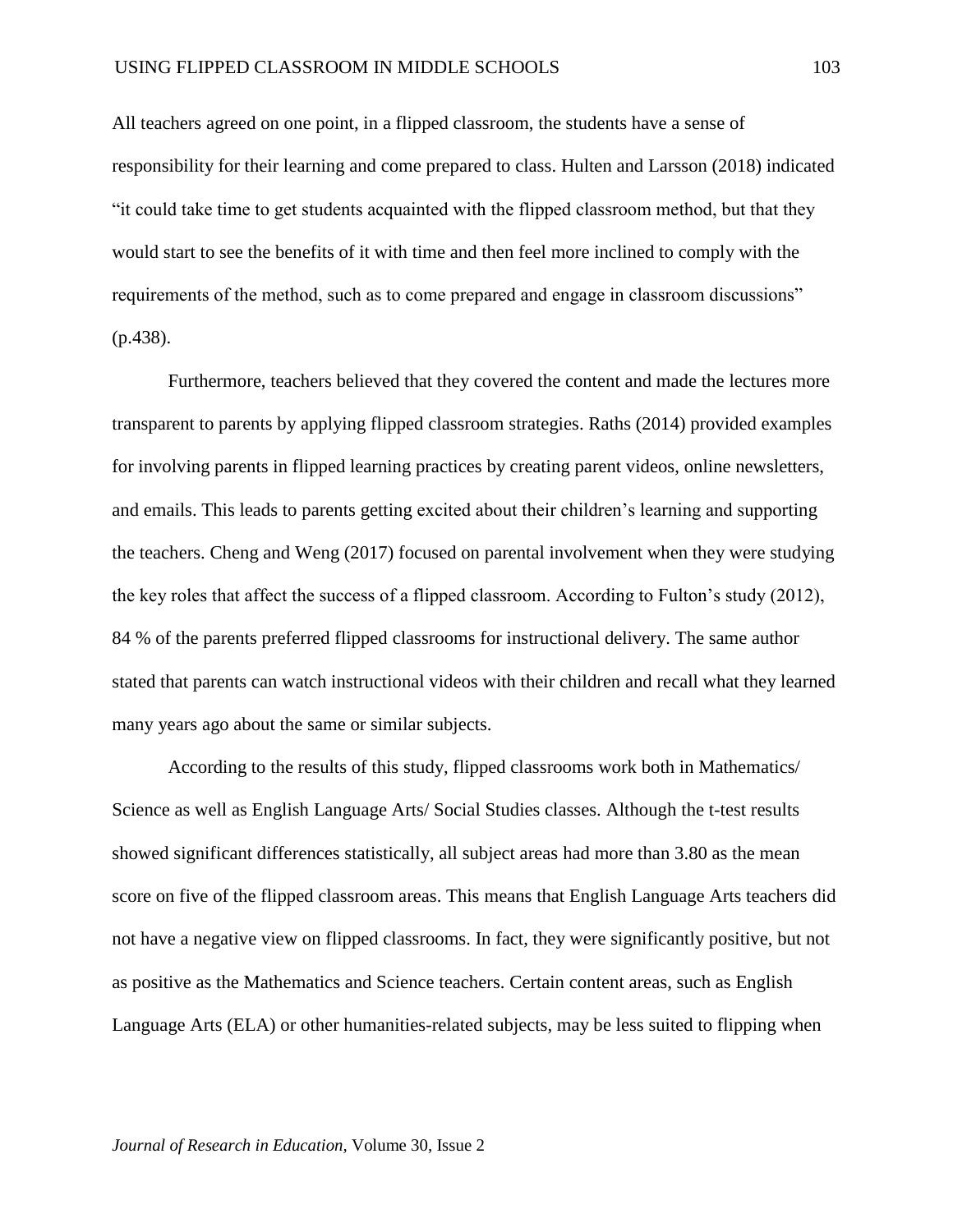All teachers agreed on one point, in a flipped classroom, the students have a sense of responsibility for their learning and come prepared to class. Hulten and Larsson (2018) indicated "it could take time to get students acquainted with the flipped classroom method, but that they would start to see the benefits of it with time and then feel more inclined to comply with the requirements of the method, such as to come prepared and engage in classroom discussions" (p.438).

Furthermore, teachers believed that they covered the content and made the lectures more transparent to parents by applying flipped classroom strategies. Raths (2014) provided examples for involving parents in flipped learning practices by creating parent videos, online newsletters, and emails. This leads to parents getting excited about their children's learning and supporting the teachers. Cheng and Weng (2017) focused on parental involvement when they were studying the key roles that affect the success of a flipped classroom. According to Fulton's study (2012), 84 % of the parents preferred flipped classrooms for instructional delivery. The same author stated that parents can watch instructional videos with their children and recall what they learned many years ago about the same or similar subjects.

According to the results of this study, flipped classrooms work both in Mathematics/ Science as well as English Language Arts/ Social Studies classes. Although the t-test results showed significant differences statistically, all subject areas had more than 3.80 as the mean score on five of the flipped classroom areas. This means that English Language Arts teachers did not have a negative view on flipped classrooms. In fact, they were significantly positive, but not as positive as the Mathematics and Science teachers. Certain content areas, such as English Language Arts (ELA) or other humanities-related subjects, may be less suited to flipping when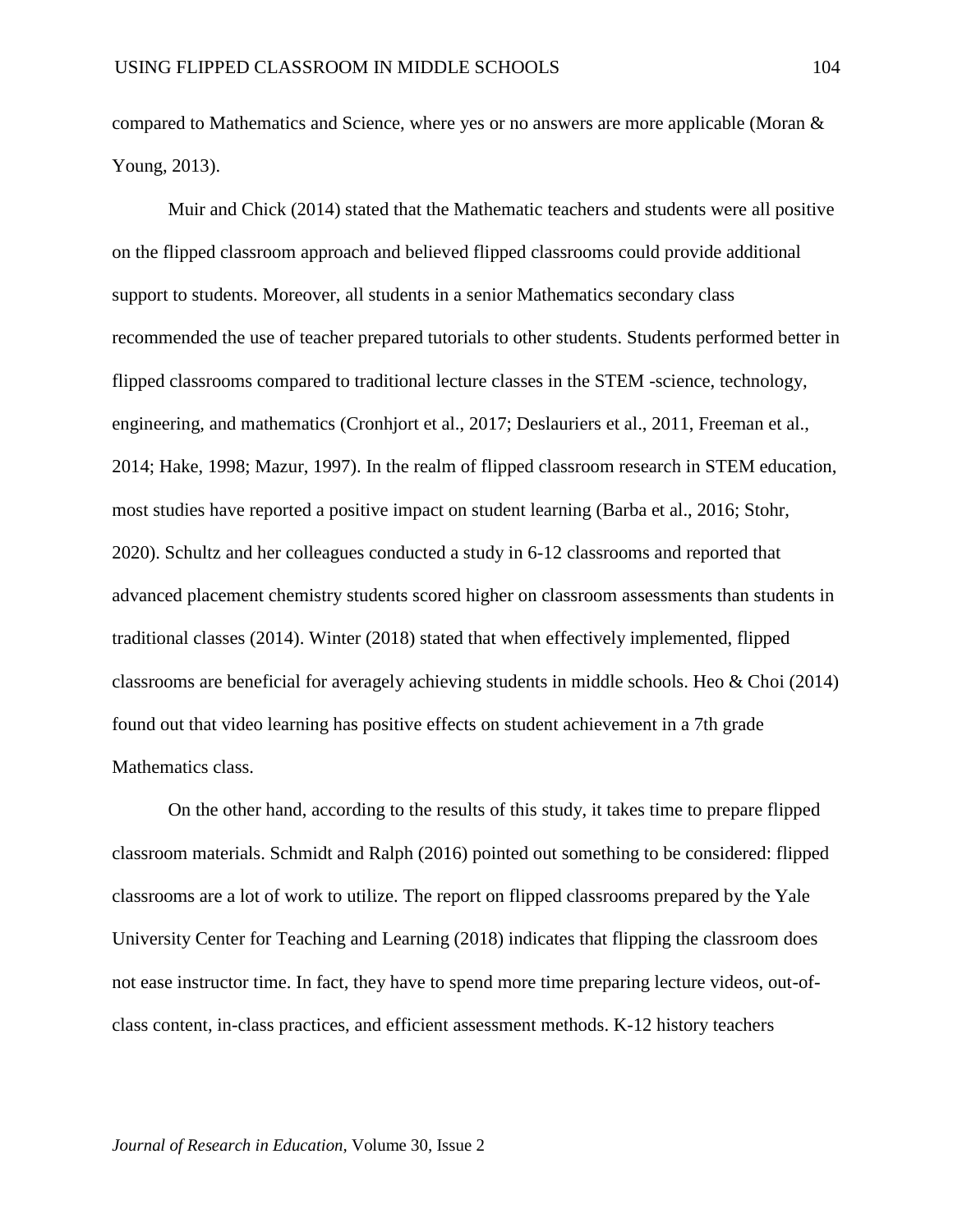compared to Mathematics and Science, where yes or no answers are more applicable (Moran & Young, 2013).

Muir and Chick (2014) stated that the Mathematic teachers and students were all positive on the flipped classroom approach and believed flipped classrooms could provide additional support to students. Moreover, all students in a senior Mathematics secondary class recommended the use of teacher prepared tutorials to other students. Students performed better in flipped classrooms compared to traditional lecture classes in the STEM -science, technology, engineering, and mathematics (Cronhjort et al., 2017; Deslauriers et al., 2011, Freeman et al., 2014; Hake, 1998; Mazur, 1997). In the realm of flipped classroom research in STEM education, most studies have reported a positive impact on student learning (Barba et al., 2016; Stohr, 2020). Schultz and her colleagues conducted a study in 6-12 classrooms and reported that advanced placement chemistry students scored higher on classroom assessments than students in traditional classes (2014). Winter (2018) stated that when effectively implemented, flipped classrooms are beneficial for averagely achieving students in middle schools. Heo & Choi (2014) found out that video learning has positive effects on student achievement in a 7th grade Mathematics class.

On the other hand, according to the results of this study, it takes time to prepare flipped classroom materials. Schmidt and Ralph (2016) pointed out something to be considered: flipped classrooms are a lot of work to utilize. The report on flipped classrooms prepared by the Yale University Center for Teaching and Learning (2018) indicates that flipping the classroom does not ease instructor time. In fact, they have to spend more time preparing lecture videos, out-ofclass content, in-class practices, and efficient assessment methods. K-12 history teachers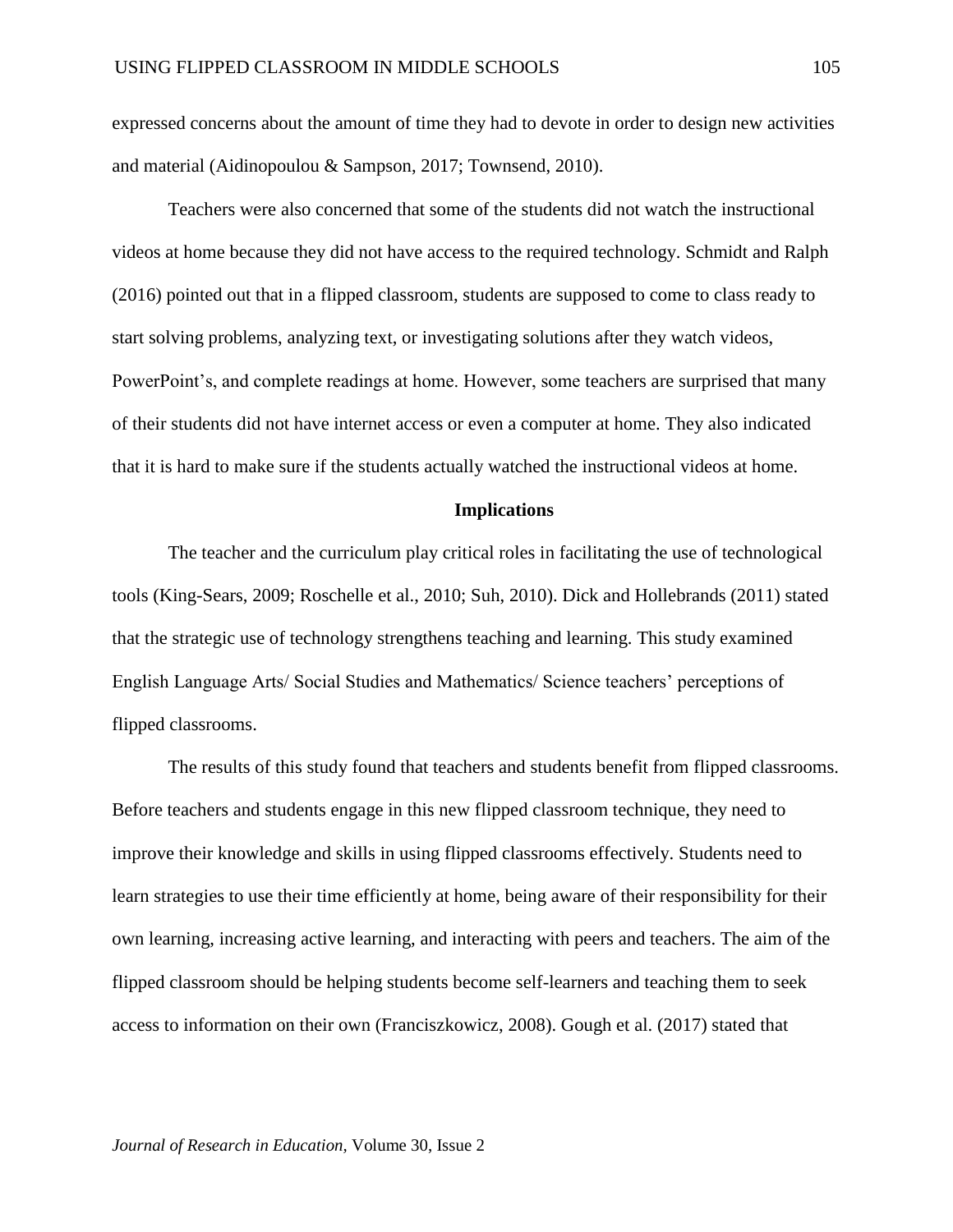expressed concerns about the amount of time they had to devote in order to design new activities and material (Aidinopoulou & Sampson, 2017; Townsend, 2010).

Teachers were also concerned that some of the students did not watch the instructional videos at home because they did not have access to the required technology. Schmidt and Ralph (2016) pointed out that in a flipped classroom, students are supposed to come to class ready to start solving problems, analyzing text, or investigating solutions after they watch videos, PowerPoint's, and complete readings at home. However, some teachers are surprised that many of their students did not have internet access or even a computer at home. They also indicated that it is hard to make sure if the students actually watched the instructional videos at home.

#### **Implications**

The teacher and the curriculum play critical roles in facilitating the use of technological tools (King-Sears, 2009; Roschelle et al., 2010; Suh, 2010). Dick and Hollebrands (2011) stated that the strategic use of technology strengthens teaching and learning. This study examined English Language Arts/ Social Studies and Mathematics/ Science teachers' perceptions of flipped classrooms.

The results of this study found that teachers and students benefit from flipped classrooms. Before teachers and students engage in this new flipped classroom technique, they need to improve their knowledge and skills in using flipped classrooms effectively. Students need to learn strategies to use their time efficiently at home, being aware of their responsibility for their own learning, increasing active learning, and interacting with peers and teachers. The aim of the flipped classroom should be helping students become self-learners and teaching them to seek access to information on their own (Franciszkowicz, 2008). Gough et al. (2017) stated that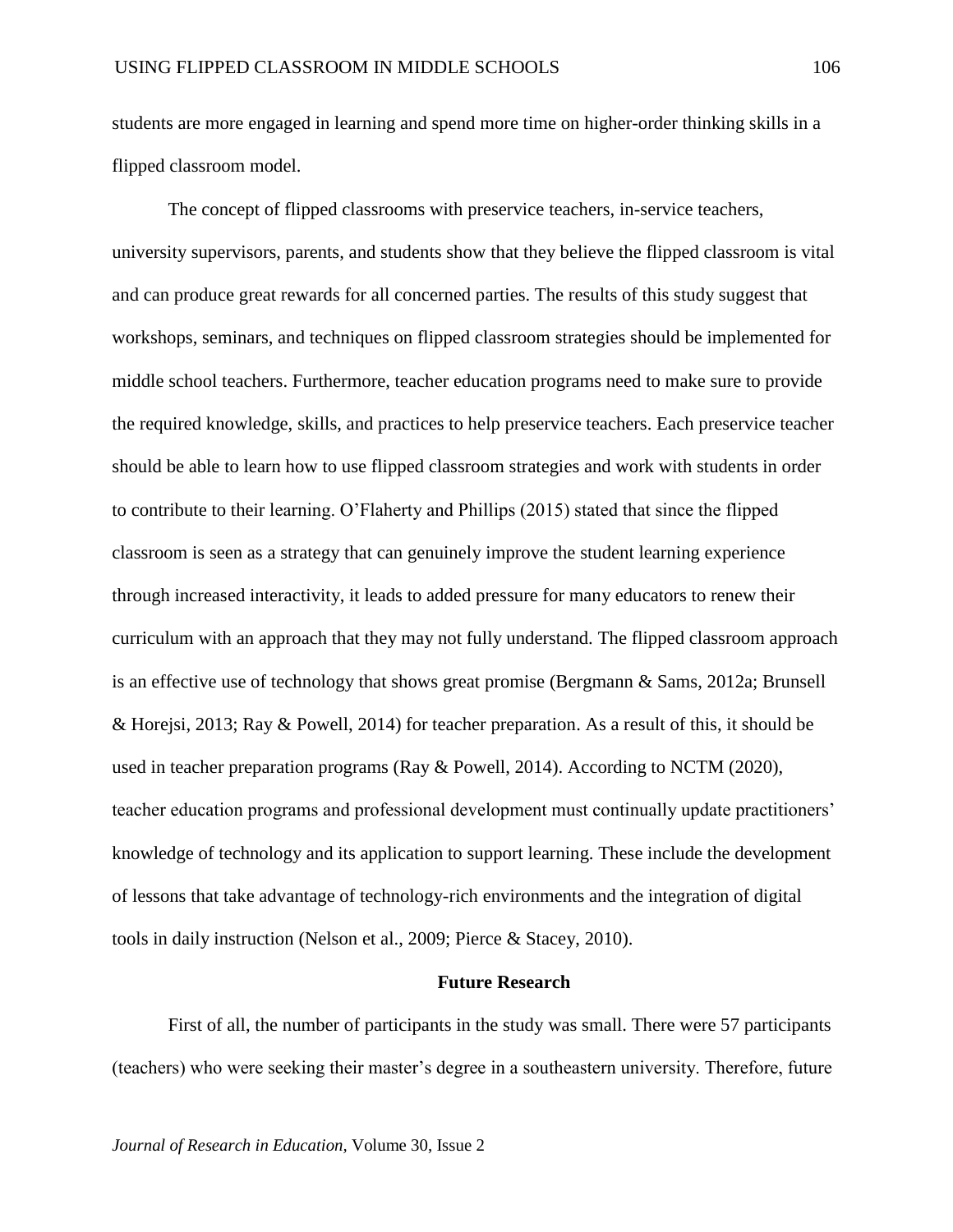students are more engaged in learning and spend more time on higher-order thinking skills in a flipped classroom model.

The concept of flipped classrooms with preservice teachers, in-service teachers, university supervisors, parents, and students show that they believe the flipped classroom is vital and can produce great rewards for all concerned parties. The results of this study suggest that workshops, seminars, and techniques on flipped classroom strategies should be implemented for middle school teachers. Furthermore, teacher education programs need to make sure to provide the required knowledge, skills, and practices to help preservice teachers. Each preservice teacher should be able to learn how to use flipped classroom strategies and work with students in order to contribute to their learning. O'Flaherty and Phillips (2015) stated that since the flipped classroom is seen as a strategy that can genuinely improve the student learning experience through increased interactivity, it leads to added pressure for many educators to renew their curriculum with an approach that they may not fully understand. The flipped classroom approach is an effective use of technology that shows great promise (Bergmann & Sams, 2012a; Brunsell & Horejsi, 2013; Ray & Powell, 2014) for teacher preparation. As a result of this, it should be used in teacher preparation programs (Ray & Powell, 2014). According to NCTM (2020), teacher education programs and professional development must continually update practitioners' knowledge of technology and its application to support learning. These include the development of lessons that take advantage of technology-rich environments and the integration of digital tools in daily instruction (Nelson et al., 2009; Pierce & Stacey, 2010).

# **Future Research**

First of all, the number of participants in the study was small. There were 57 participants (teachers) who were seeking their master's degree in a southeastern university. Therefore, future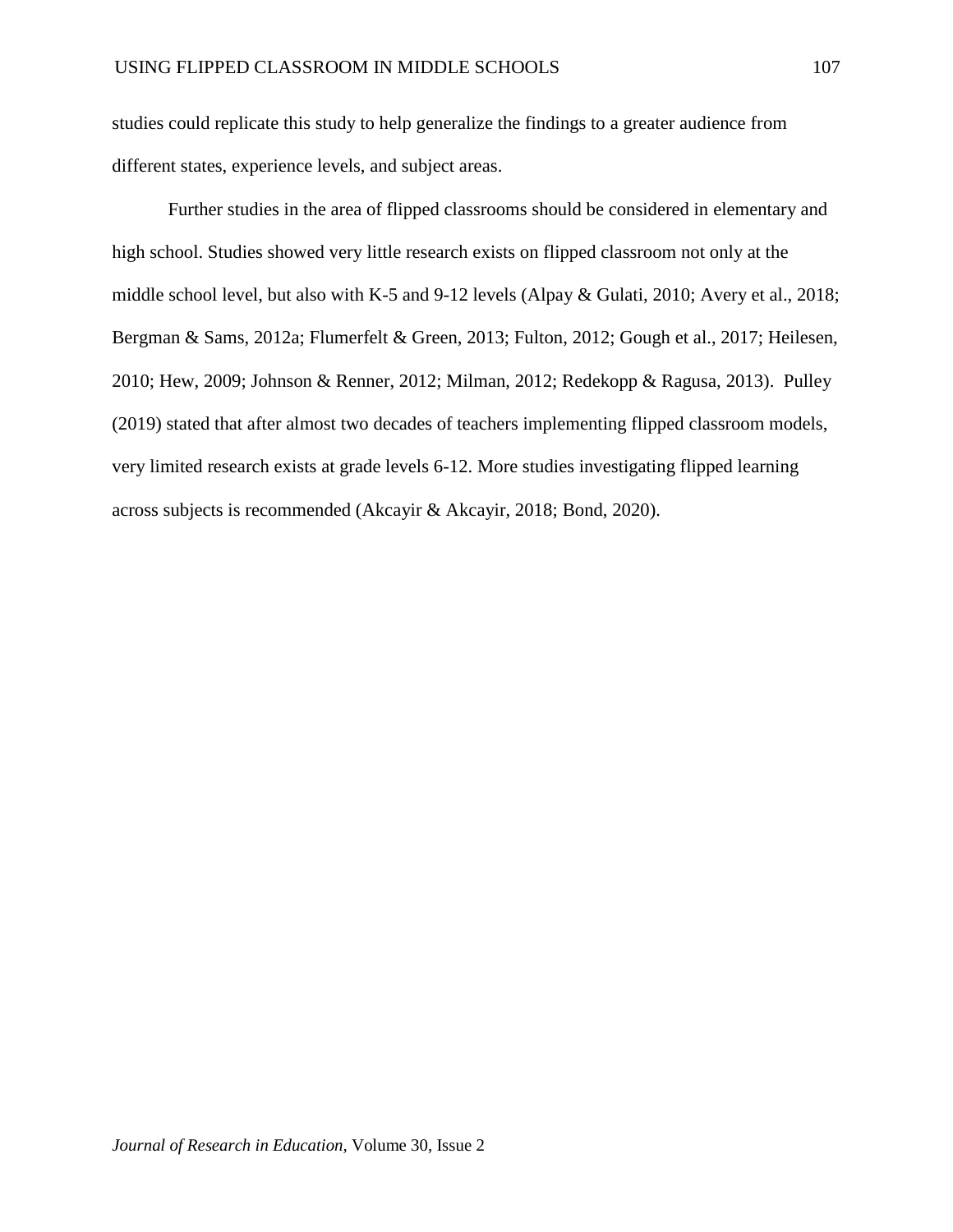studies could replicate this study to help generalize the findings to a greater audience from different states, experience levels, and subject areas.

Further studies in the area of flipped classrooms should be considered in elementary and high school. Studies showed very little research exists on flipped classroom not only at the middle school level, but also with K-5 and 9-12 levels (Alpay & Gulati, 2010; Avery et al., 2018; Bergman & Sams, 2012a; Flumerfelt & Green, 2013; Fulton, 2012; Gough et al., 2017; Heilesen, 2010; Hew, 2009; Johnson & Renner, 2012; Milman, 2012; Redekopp & Ragusa, 2013). Pulley (2019) stated that after almost two decades of teachers implementing flipped classroom models, very limited research exists at grade levels 6-12. More studies investigating flipped learning across subjects is recommended (Akcayir & Akcayir, 2018; Bond, 2020).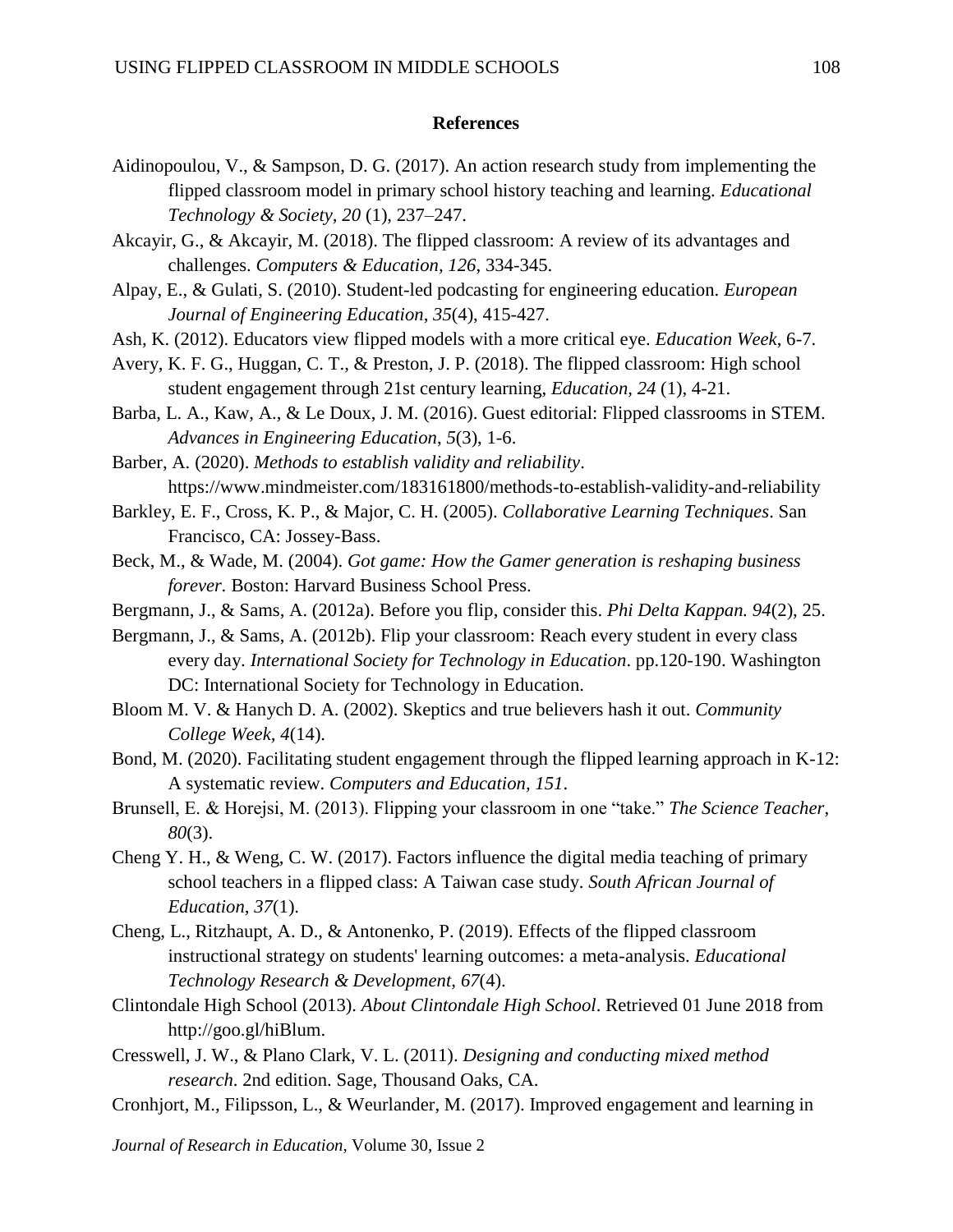## **References**

- Aidinopoulou, V., & Sampson, D. G. (2017). An action research study from implementing the flipped classroom model in primary school history teaching and learning. *Educational Technology & Society, 20* (1), 237–247.
- Akcayir, G., & Akcayir, M. (2018). The flipped classroom: A review of its advantages and challenges. *Computers & Education, 126*, 334-345.
- Alpay, E., & Gulati, S. (2010). Student-led podcasting for engineering education. *European Journal of Engineering Education*, *35*(4), 415-427.
- Ash, K. (2012). Educators view flipped models with a more critical eye. *Education Week*, 6-7.
- Avery, K. F. G., Huggan, C. T., & Preston, J. P. (2018). The flipped classroom: High school student engagement through 21st century learning, *Education, 24* (1), 4-21.
- Barba, L. A., Kaw, A., & Le Doux, J. M. (2016). Guest editorial: Flipped classrooms in STEM. *Advances in Engineering Education*, *5*(3), 1-6.

Barber, A. (2020). *Methods to establish validity and reliability*. https://www.mindmeister.com/183161800/methods-to-establish-validity-and-reliability

- Barkley, E. F., Cross, K. P., & Major, C. H. (2005). *Collaborative Learning Techniques*. San Francisco, CA: Jossey-Bass.
- Beck, M., & Wade, M. (2004). *Got game: How the Gamer generation is reshaping business forever.* Boston: Harvard Business School Press.
- Bergmann, J., & Sams, A. (2012a). Before you flip, consider this. *Phi Delta Kappan. 94*(2), 25.
- Bergmann, J., & Sams, A. (2012b). Flip your classroom: Reach every student in every class every day. *International Society for Technology in Education*. pp.120-190. Washington DC: International Society for Technology in Education.
- Bloom M. V. & Hanych D. A. (2002). Skeptics and true believers hash it out. *Community College Week, 4*(14).
- Bond, M. (2020). Facilitating student engagement through the flipped learning approach in K-12: A systematic review. *Computers and Education, 151*.
- Brunsell, E. & Horejsi, M. (2013). Flipping your classroom in one "take." *The Science Teacher*, *80*(3).
- Cheng Y. H., & Weng, C. W. (2017). Factors influence the digital media teaching of primary school teachers in a flipped class: A Taiwan case study. *South African Journal of Education*, *37*(1).
- Cheng, L., Ritzhaupt, A. D., & Antonenko, P. (2019). Effects of the flipped classroom instructional strategy on students' learning outcomes: a meta-analysis. *Educational Technology Research & Development, 67*(4).
- Clintondale High School (2013). *About Clintondale High School*. Retrieved 01 June 2018 from http://goo.gl/hiBlum.
- Cresswell, J. W., & Plano Clark, V. L. (2011). *Designing and conducting mixed method research*. 2nd edition. Sage, Thousand Oaks, CA.
- Cronhjort, M., Filipsson, L., & Weurlander, M. (2017). Improved engagement and learning in

*Journal of Research in Education,* Volume 30, Issue 2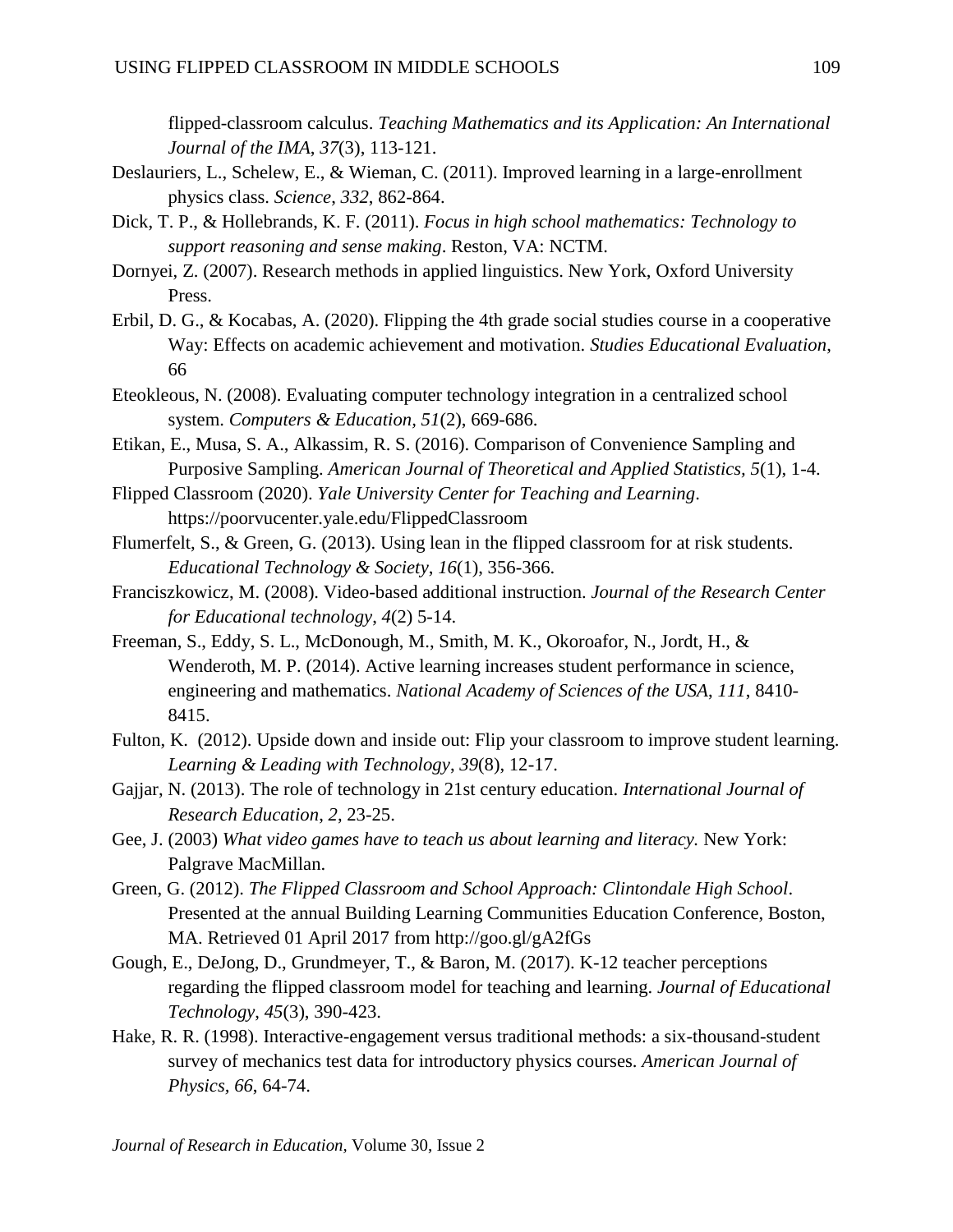flipped-classroom calculus. *Teaching Mathematics and its Application: An International Journal of the IMA*, *37*(3), 113-121.

- Deslauriers, L., Schelew, E., & Wieman, C. (2011). Improved learning in a large-enrollment physics class. *Science*, *332*, 862-864.
- Dick, T. P., & Hollebrands, K. F. (2011). *Focus in high school mathematics: Technology to support reasoning and sense making*. Reston, VA: NCTM.
- Dornyei, Z. (2007). Research methods in applied linguistics. New York, Oxford University Press.
- Erbil, D. G., & Kocabas, A. (2020). Flipping the 4th grade social studies course in a cooperative Way: Effects on academic achievement and motivation. *Studies Educational Evaluation*, 66
- Eteokleous, N. (2008). Evaluating computer technology integration in a centralized school system. *Computers & Education, 51*(2), 669-686.
- Etikan, E., Musa, S. A., Alkassim, R. S. (2016). Comparison of Convenience Sampling and Purposive Sampling. *American Journal of Theoretical and Applied Statistics, 5*(1), 1-4.
- Flipped Classroom (2020). *Yale University Center for Teaching and Learning*. https://poorvucenter.yale.edu/FlippedClassroom
- Flumerfelt, S., & Green, G. (2013). Using lean in the flipped classroom for at risk students. *Educational Technology & Society*, *16*(1), 356-366.
- Franciszkowicz, M. (2008). Video-based additional instruction. *Journal of the Research Center for Educational technology*, *4*(2) 5-14.
- Freeman, S., Eddy, S. L., McDonough, M., Smith, M. K., Okoroafor, N., Jordt, H., & Wenderoth, M. P. (2014). Active learning increases student performance in science, engineering and mathematics. *National Academy of Sciences of the USA*, *111*, 8410- 8415.
- Fulton, K. (2012). Upside down and inside out: Flip your classroom to improve student learning. *Learning & Leading with Technology*, *39*(8), 12-17.
- Gajjar, N. (2013). The role of technology in 21st century education. *International Journal of Research Education*, *2*, 23-25.
- Gee, J. (2003) *What video games have to teach us about learning and literacy.* New York: Palgrave MacMillan.
- Green, G. (2012). *The Flipped Classroom and School Approach: Clintondale High School*. Presented at the annual Building Learning Communities Education Conference, Boston, MA. Retrieved 01 April 2017 from http://goo.gl/gA2fGs
- Gough, E., DeJong, D., Grundmeyer, T., & Baron, M. (2017). K-12 teacher perceptions regarding the flipped classroom model for teaching and learning. *Journal of Educational Technology*, *45*(3), 390-423.
- Hake, R. R. (1998). Interactive-engagement versus traditional methods: a six-thousand-student survey of mechanics test data for introductory physics courses. *American Journal of Physics, 66*, 64-74.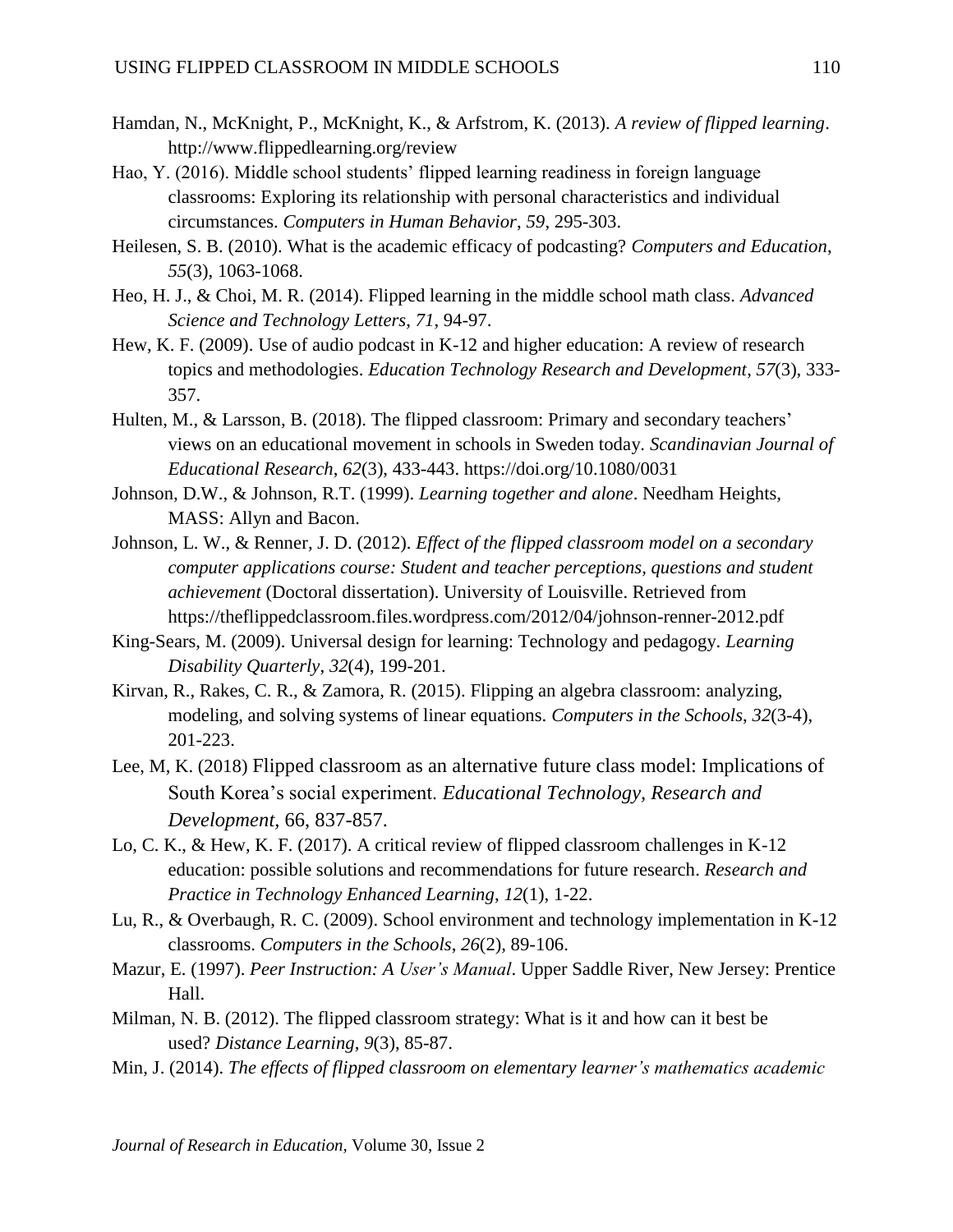- Hamdan, N., McKnight, P., McKnight, K., & Arfstrom, K. (2013). *A review of flipped learning*. http://www.flippedlearning.org/review
- Hao, Y. (2016). Middle school students' flipped learning readiness in foreign language classrooms: Exploring its relationship with personal characteristics and individual circumstances. *Computers in Human Behavior*, *59*, 295-303.
- Heilesen, S. B. (2010). What is the academic efficacy of podcasting? *Computers and Education*, *55*(3), 1063-1068.
- Heo, H. J., & Choi, M. R. (2014). Flipped learning in the middle school math class. *Advanced Science and Technology Letters*, *71*, 94-97.
- Hew, K. F. (2009). Use of audio podcast in K-12 and higher education: A review of research topics and methodologies. *Education Technology Research and Development*, *57*(3), 333- 357.
- Hulten, M., & Larsson, B. (2018). The flipped classroom: Primary and secondary teachers' views on an educational movement in schools in Sweden today. *Scandinavian Journal of Educational Research*, *62*(3), 433-443. https://doi.org/10.1080/0031
- Johnson, D.W., & Johnson, R.T. (1999). *Learning together and alone*. Needham Heights, MASS: Allyn and Bacon.
- Johnson, L. W., & Renner, J. D. (2012). *Effect of the flipped classroom model on a secondary computer applications course: Student and teacher perceptions, questions and student achievement* (Doctoral dissertation). University of Louisville. Retrieved from https://theflippedclassroom.files.wordpress.com/2012/04/johnson-renner-2012.pdf
- King-Sears, M. (2009). Universal design for learning: Technology and pedagogy. *Learning Disability Quarterly*, *32*(4), 199-201.
- Kirvan, R., Rakes, C. R., & Zamora, R. (2015). Flipping an algebra classroom: analyzing, modeling, and solving systems of linear equations. *Computers in the Schools*, *32*(3-4), 201-223.
- Lee, M, K. (2018) Flipped classroom as an alternative future class model: Implications of South Korea's social experiment. *Educational Technology, Research and Development,* 66, 837-857.
- Lo, C. K., & Hew, K. F. (2017). A critical review of flipped classroom challenges in K-12 education: possible solutions and recommendations for future research. *Research and Practice in Technology Enhanced Learning*, *12*(1), 1-22.
- Lu, R., & Overbaugh, R. C. (2009). School environment and technology implementation in K-12 classrooms. *Computers in the Schools*, *26*(2), 89-106.
- Mazur, E. (1997). *Peer Instruction: A User's Manual*. Upper Saddle River, New Jersey: Prentice Hall.
- Milman, N. B. (2012). The flipped classroom strategy: What is it and how can it best be used? *Distance Learning*, *9*(3), 85-87.
- Min, J. (2014). *The effects of flipped classroom on elementary learner's mathematics academic*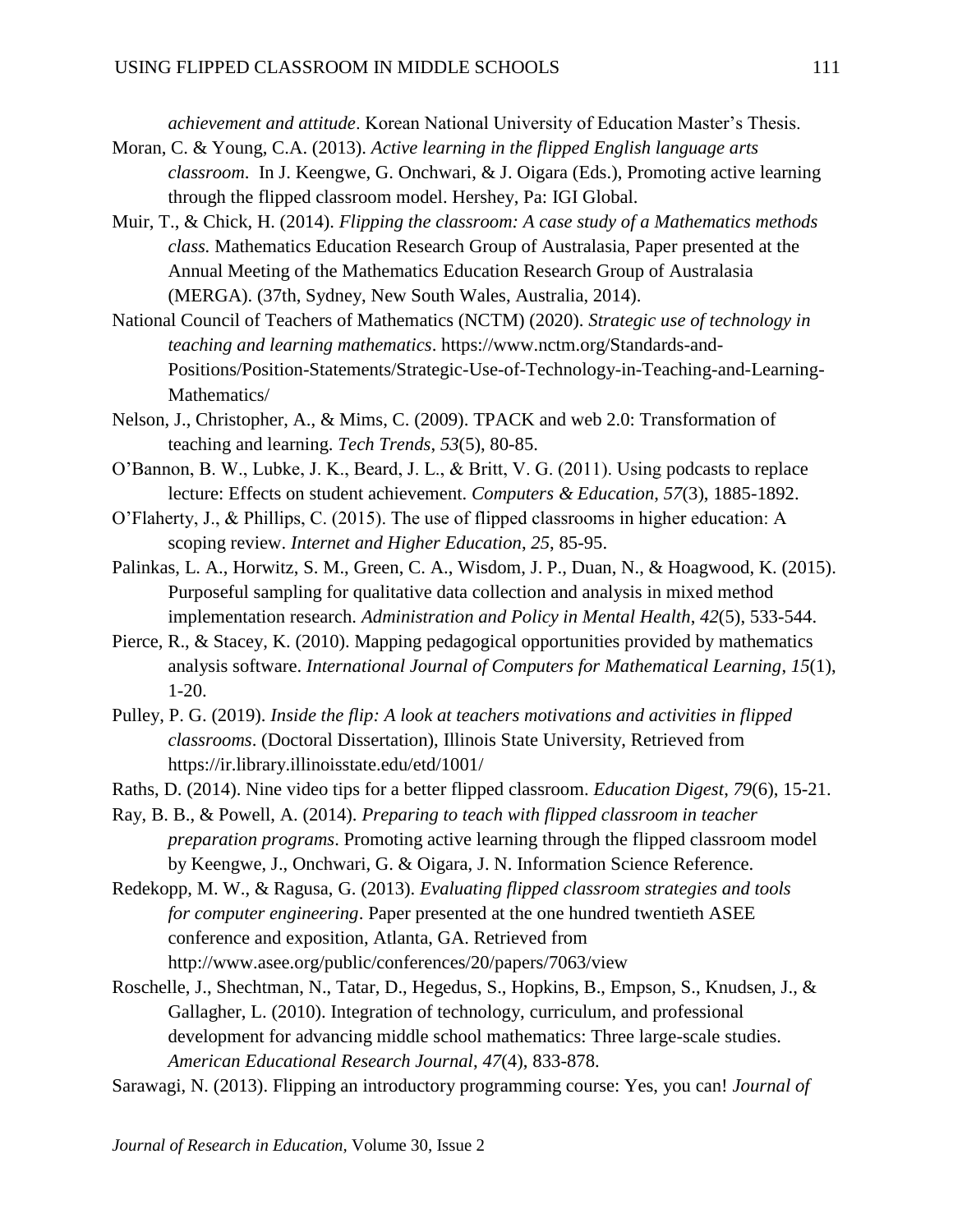*achievement and attitude*. Korean National University of Education Master's Thesis.

- Moran, C. & Young, C.A. (2013). *Active learning in the flipped English language arts classroom*. In J. Keengwe, G. Onchwari, & J. Oigara (Eds.), Promoting active learning through the flipped classroom model. Hershey, Pa: IGI Global.
- Muir, T., & Chick, H. (2014). *Flipping the classroom: A case study of a Mathematics methods class.* Mathematics Education Research Group of Australasia, Paper presented at the Annual Meeting of the Mathematics Education Research Group of Australasia (MERGA). (37th, Sydney, New South Wales, Australia, 2014).
- National Council of Teachers of Mathematics (NCTM) (2020). *Strategic use of technology in teaching and learning mathematics*. [https://www.nctm.org/Standards-and-](https://www.nctm.org/Standards-and-Positions/Position-Statements/Strategic-Use-of-Technology-in-Teaching-and-Learning-Mathematics/)[Positions/Position-Statements/Strategic-Use-of-Technology-in-Teaching-and-Learning-](https://www.nctm.org/Standards-and-Positions/Position-Statements/Strategic-Use-of-Technology-in-Teaching-and-Learning-Mathematics/)[Mathematics/](https://www.nctm.org/Standards-and-Positions/Position-Statements/Strategic-Use-of-Technology-in-Teaching-and-Learning-Mathematics/)
- Nelson, J., Christopher, A., & Mims, C. (2009). TPACK and web 2.0: Transformation of teaching and learning. *Tech Trends*, *53*(5), 80-85.
- O'Bannon, B. W., Lubke, J. K., Beard, J. L., & Britt, V. G. (2011). Using podcasts to replace lecture: Effects on student achievement. *Computers & Education*, *57*(3), 1885-1892.
- O'Flaherty, J., & Phillips, C. (2015). The use of flipped classrooms in higher education: A scoping review. *Internet and Higher Education*, *25*, 85-95.
- Palinkas, L. A., Horwitz, S. M., Green, C. A., Wisdom, J. P., Duan, N., & Hoagwood, K. (2015). Purposeful sampling for qualitative data collection and analysis in mixed method implementation research. *Administration and Policy in Mental Health*, *42*(5), 533-544.
- Pierce, R., & Stacey, K. (2010). Mapping pedagogical opportunities provided by mathematics analysis software. *International Journal of Computers for Mathematical Learning*, *15*(1), 1-20.
- Pulley, P. G. (2019). *Inside the flip: A look at teachers motivations and activities in flipped classrooms*. (Doctoral Dissertation), Illinois State University, Retrieved from https://ir.library.illinoisstate.edu/etd/1001/
- Raths, D. (2014). Nine video tips for a better flipped classroom. *Education Digest*, *79*(6), 15-21.
- Ray, B. B., & Powell, A. (2014). *Preparing to teach with flipped classroom in teacher preparation programs*. Promoting active learning through the flipped classroom model by Keengwe, J., Onchwari, G. & Oigara, J. N. Information Science Reference.
- Redekopp, M. W., & Ragusa, G. (2013). *Evaluating flipped classroom strategies and tools for computer engineering*. Paper presented at the one hundred twentieth ASEE conference and exposition, Atlanta, GA. Retrieved from http://www.asee.org/public/conferences/20/papers/7063/view
- Roschelle, J., Shechtman, N., Tatar, D., Hegedus, S., Hopkins, B., Empson, S., Knudsen, J., & Gallagher, L. (2010). Integration of technology, curriculum, and professional development for advancing middle school mathematics: Three large-scale studies. *American Educational Research Journal*, *47*(4), 833-878.
- Sarawagi, N. (2013). Flipping an introductory programming course: Yes, you can! *Journal of*